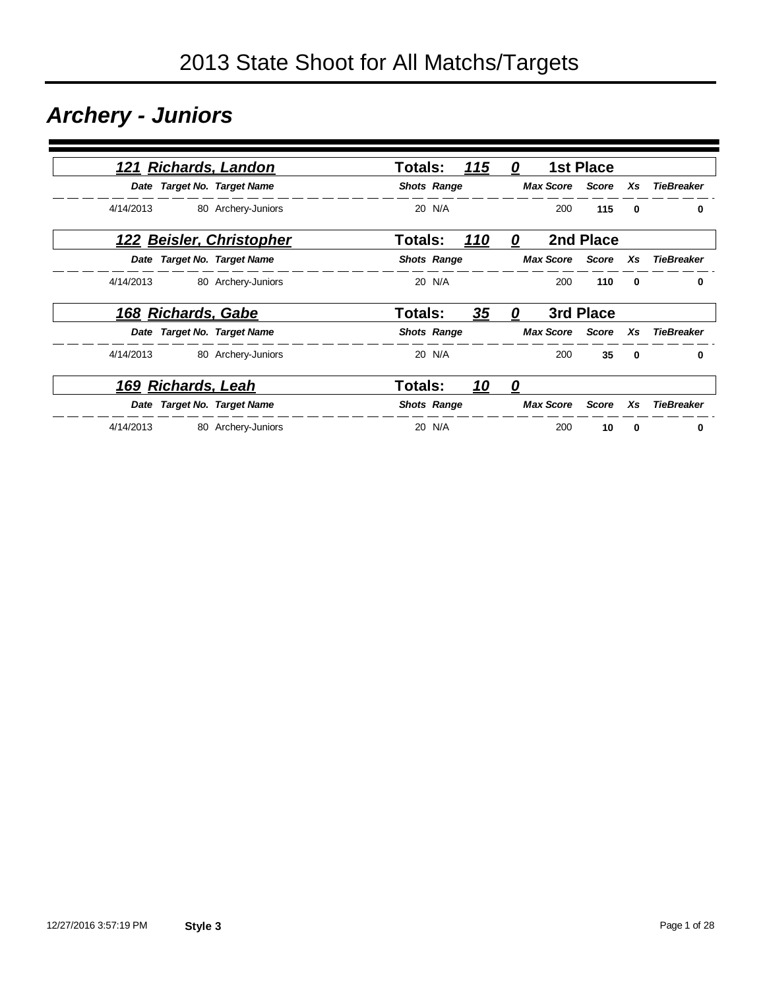### *Archery - Juniors*

|           |                    | 121 Richards, Landon        | <b>Totals:</b>     |        | 115       | 0 |                  | <b>1st Place</b> |              |                   |
|-----------|--------------------|-----------------------------|--------------------|--------|-----------|---|------------------|------------------|--------------|-------------------|
|           |                    | Date Target No. Target Name | <b>Shots Range</b> |        |           |   | <b>Max Score</b> | Score            | Xs           | <b>TieBreaker</b> |
| 4/14/2013 |                    | 80 Archery-Juniors          |                    | 20 N/A |           |   | 200              | 115              | $\bf{0}$     | 0                 |
|           |                    | 122 Beisler, Christopher    | Totals:            |        | 110       | 0 |                  | 2nd Place        |              |                   |
|           |                    | Date Target No. Target Name | <b>Shots Range</b> |        |           |   | <b>Max Score</b> | Score            | Xs           | <b>TieBreaker</b> |
| 4/14/2013 |                    | 80 Archery-Juniors          |                    | 20 N/A |           |   | 200              | 110              | 0            | 0                 |
|           | 168 Richards, Gabe |                             | Totals:            |        | 35        | 0 |                  | 3rd Place        |              |                   |
|           |                    | Date Target No. Target Name | <b>Shots Range</b> |        |           |   | <b>Max Score</b> | Score            | Xs           | <b>TieBreaker</b> |
| 4/14/2013 |                    | 80 Archery-Juniors          |                    | 20 N/A |           |   | 200              | 35               | $\mathbf{0}$ | $\mathbf{0}$      |
|           | 169 Richards, Leah |                             | Totals:            |        | <u>10</u> | 0 |                  |                  |              |                   |
|           |                    | Date Target No. Target Name | <b>Shots Range</b> |        |           |   | <b>Max Score</b> | Score            | Xs           | <b>TieBreaker</b> |
| 4/14/2013 |                    | 80 Archery-Juniors          |                    | 20 N/A |           |   | 200              | 10               | 0            | 0                 |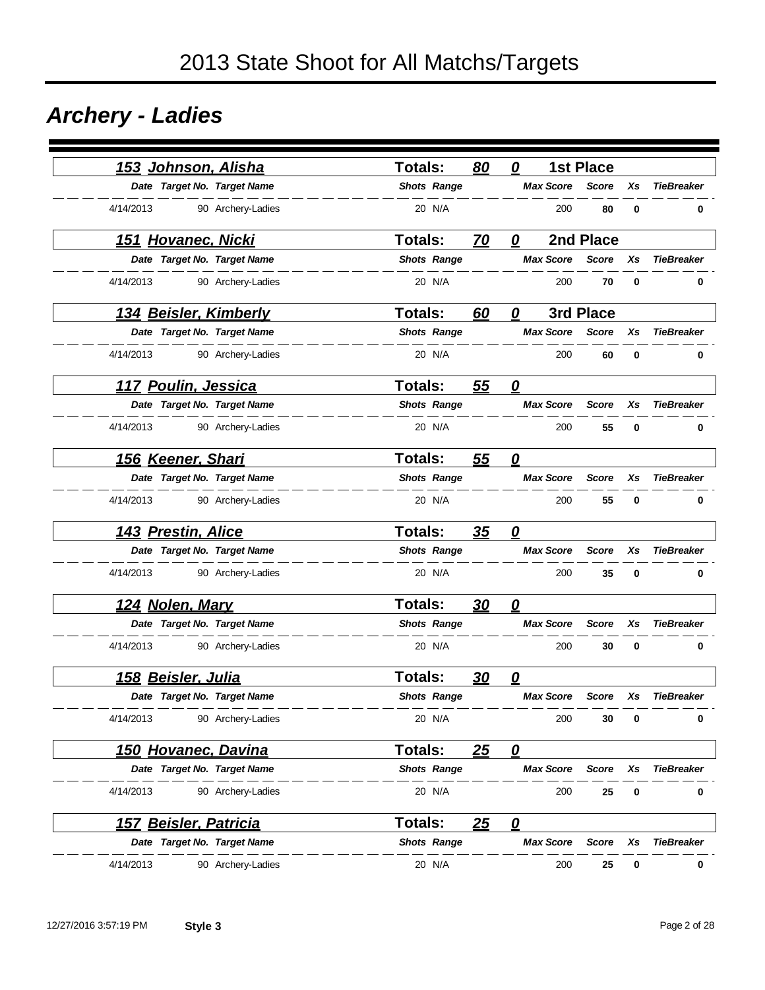### *Archery - Ladies*

|           |                              | <u>153 Johnson, Alisha</u>   | Totals:        |                    | 80        | 0                       |                  | <b>1st Place</b> |          |                   |
|-----------|------------------------------|------------------------------|----------------|--------------------|-----------|-------------------------|------------------|------------------|----------|-------------------|
|           |                              | Date Target No. Target Name  |                | <b>Shots Range</b> |           |                         | <b>Max Score</b> | <b>Score</b>     | Xs       | <b>TieBreaker</b> |
| 4/14/2013 |                              | 90 Archery-Ladies            |                | 20 N/A             |           |                         | 200              | 80               | 0        | 0                 |
|           | 151 Hovanec, Nicki           |                              | <b>Totals:</b> |                    | 70        | 0                       |                  | 2nd Place        |          |                   |
|           |                              | Date Target No. Target Name  |                | <b>Shots Range</b> |           |                         | <b>Max Score</b> | <b>Score</b>     | Xs       | <b>TieBreaker</b> |
| 4/14/2013 |                              | 90 Archery-Ladies            |                | 20 N/A             |           |                         | 200              | 70               | 0        | 0                 |
|           |                              | <u>134 Beisler, Kimberly</u> | <b>Totals:</b> |                    | 60        | 0                       |                  | 3rd Place        |          |                   |
|           |                              | Date Target No. Target Name  |                | <b>Shots Range</b> |           |                         | <b>Max Score</b> | <b>Score</b>     | Xs       | <b>TieBreaker</b> |
| 4/14/2013 |                              | 90 Archery-Ladies            |                | 20 N/A             |           |                         | 200              | 60               | 0        | 0                 |
|           | 117 Poulin, Jessica          |                              | <b>Totals:</b> |                    | 55        | $\boldsymbol{\varrho}$  |                  |                  |          |                   |
|           |                              | Date Target No. Target Name  |                | <b>Shots Range</b> |           |                         | <b>Max Score</b> | <b>Score</b>     | Xs       | <b>TieBreaker</b> |
|           | 4/14/2013                    | 90 Archery-Ladies            |                | 20 N/A             |           |                         | 200              | 55               | 0        | 0                 |
|           | 156 Keener, Shari            |                              | Totals:        |                    | 55        | 0                       |                  |                  |          |                   |
|           |                              | Date Target No. Target Name  |                | <b>Shots Range</b> |           |                         | <b>Max Score</b> | <b>Score</b>     | Xs       | <b>TieBreaker</b> |
|           | 4/14/2013                    | 90 Archery-Ladies            |                | 20 N/A             |           |                         | 200              | 55               | $\bf{0}$ | 0                 |
|           | 143 Prestin, Alice           |                              | <b>Totals:</b> |                    | 35        | $\overline{\mathbf{0}}$ |                  |                  |          |                   |
|           |                              | Date Target No. Target Name  |                | <b>Shots Range</b> |           |                         | <b>Max Score</b> | <b>Score</b>     | Xs       | <b>TieBreaker</b> |
|           | 4/14/2013                    | 90 Archery-Ladies            |                | 20 N/A             |           |                         | 200              | 35               | 0        | 0                 |
|           | <u>124 Nolen, Mary</u>       |                              | <b>Totals:</b> |                    | 30        | $\overline{\mathbf{0}}$ |                  |                  |          |                   |
|           |                              | Date Target No. Target Name  |                | <b>Shots Range</b> |           |                         | <b>Max Score</b> | <b>Score</b>     | Xs       | <b>TieBreaker</b> |
|           | 4/14/2013                    | 90 Archery-Ladies            |                | 20 N/A             |           |                         | 200              | 30               | 0        | 0                 |
|           | <u>158 Beisler, Julia</u>    |                              | <b>Totals:</b> |                    | <u>30</u> | 0                       |                  |                  |          |                   |
|           |                              | Date Target No. Target Name  |                | <b>Shots Range</b> |           |                         | <b>Max Score</b> | <b>Score</b>     | Xs       | <b>TieBreaker</b> |
|           | 4/14/2013                    | 90 Archery-Ladies            |                | 20 N/A             |           |                         | 200              | 30               | 0        | 0                 |
|           |                              | <u>150 Hovanec, Davina</u>   | Totals:        |                    | 25        | $\mathbf{\Omega}$       |                  |                  |          |                   |
|           |                              | Date Target No. Target Name  |                | <b>Shots Range</b> |           |                         | <b>Max Score</b> | <b>Score</b>     | Xs       | <b>TieBreaker</b> |
|           | 4/14/2013                    | 90 Archery-Ladies            |                | 20 N/A             |           |                         | 200              | 25               | 0        | 0                 |
|           | <u>157 Beisler, Patricia</u> |                              | <b>Totals:</b> |                    | 25        | $\mathbf{\Omega}$       |                  |                  |          |                   |
|           |                              | Date Target No. Target Name  |                | <b>Shots Range</b> |           |                         | <b>Max Score</b> | <b>Score</b>     | Xs       | <b>TieBreaker</b> |
| 4/14/2013 |                              | 90 Archery-Ladies            |                | 20 N/A             |           |                         | 200              | 25               | 0        | 0                 |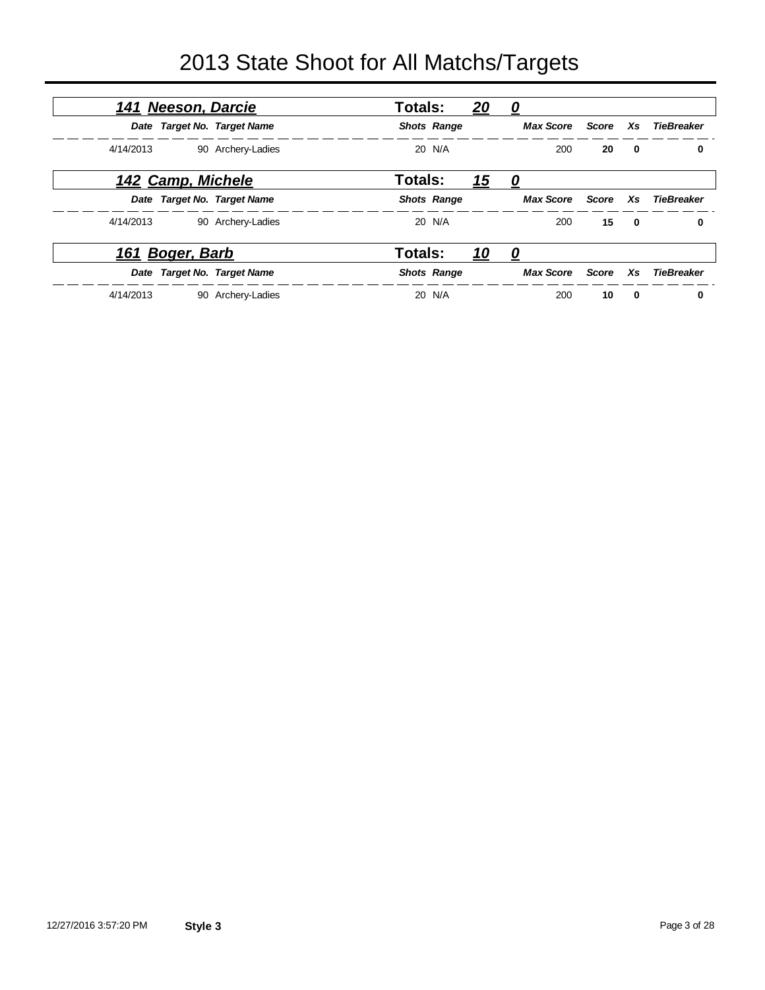| <u> 141 Neeson, Darcie</u> |                             | <b>Totals:</b> |                    | 20         | 0                |              |                         |                   |
|----------------------------|-----------------------------|----------------|--------------------|------------|------------------|--------------|-------------------------|-------------------|
|                            | Date Target No. Target Name |                | <b>Shots Range</b> |            | <b>Max Score</b> | Score        | Xs                      | TieBreaker        |
| 4/14/2013                  | 90 Archery-Ladies           |                | 20 N/A             |            | 200              | 20           | $\mathbf 0$             | 0                 |
| <u>142 Camp, Michele</u>   |                             | <b>Totals:</b> |                    | <u> 15</u> | 0                |              |                         |                   |
|                            | Date Target No. Target Name |                | <b>Shots Range</b> |            | <b>Max Score</b> | Score        | Xs                      | TieBreaker        |
| 4/14/2013                  | 90 Archery-Ladies           |                | 20 N/A             |            | 200              | 15           | $\overline{\mathbf{0}}$ | 0                 |
| 161 Boger, Barb            |                             | <b>Totals:</b> |                    | <u> 10</u> | <u>0</u>         |              |                         |                   |
|                            | Date Target No. Target Name |                | <b>Shots Range</b> |            | <b>Max Score</b> | <b>Score</b> | Xs                      | <b>TieBreaker</b> |
| 4/14/2013                  | 90 Archery-Ladies           |                | 20 N/A             |            | 200              | 10           | $\bf{0}$                | 0                 |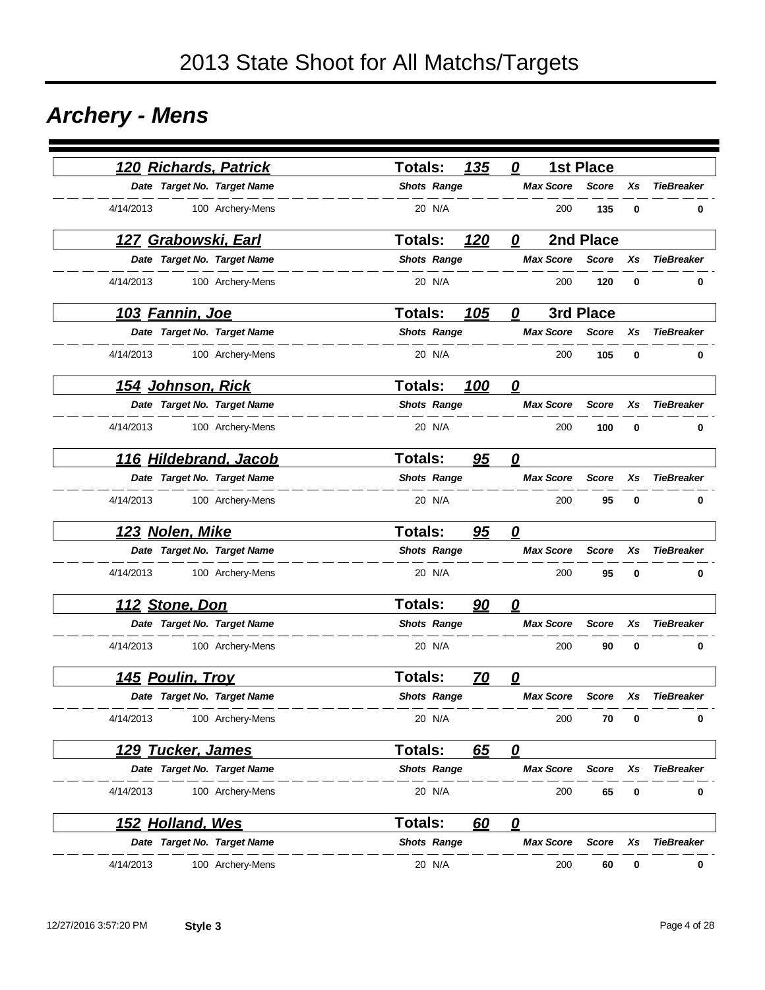### *Archery - Mens*

| 120 Richards, Patrick         | 135<br>Totals:              | 0<br><b>1st Place</b>   |                    |                   |
|-------------------------------|-----------------------------|-------------------------|--------------------|-------------------|
| Date Target No. Target Name   | <b>Shots Range</b>          | <b>Max Score</b>        | <b>Score</b><br>Xs | <b>TieBreaker</b> |
| 4/14/2013<br>100 Archery-Mens | 20 N/A                      | 200                     | 135<br>0           | 0                 |
| 127 Grabowski, Earl           | <b>Totals:</b><br>120       | 2nd Place<br>0          |                    |                   |
| Date Target No. Target Name   | <b>Shots Range</b>          | <b>Max Score</b>        | <b>Score</b><br>Xs | <b>TieBreaker</b> |
| 4/14/2013<br>100 Archery-Mens | 20 N/A                      | 200                     | 120<br>0           | 0                 |
| <u> 103 Fannin, Joe</u>       | <b>Totals:</b><br>105       | 3rd Place<br>0          |                    |                   |
| Date Target No. Target Name   | <b>Shots Range</b>          | <b>Max Score</b>        | <b>Score</b><br>Xs | <b>TieBreaker</b> |
| 4/14/2013<br>100 Archery-Mens | 20 N/A                      | 200                     | 105<br>0           | 0                 |
| <u>154 Johnson, Rick</u>      | <b>Totals:</b><br>100       | $\overline{\mathbf{0}}$ |                    |                   |
| Date Target No. Target Name   | <b>Shots Range</b>          | <b>Max Score</b>        | <b>Score</b><br>Xs | <b>TieBreaker</b> |
| 4/14/2013<br>100 Archery-Mens | 20 N/A                      | 200                     | 100<br>0           | 0                 |
| 116 Hildebrand, Jacob         | <b>Totals:</b><br>95        | 0                       |                    |                   |
| Date Target No. Target Name   | <b>Shots Range</b>          | <b>Max Score</b>        | <b>Score</b><br>Xs | <b>TieBreaker</b> |
| 4/14/2013<br>100 Archery-Mens | 20 N/A                      | 200                     | 95<br>0            | 0                 |
| 123 Nolen, Mike               | <b>Totals:</b><br>95        | 0                       |                    |                   |
| Date Target No. Target Name   | <b>Shots Range</b>          | <b>Max Score</b>        | <b>Score</b><br>Xs | <b>TieBreaker</b> |
| 4/14/2013<br>100 Archery-Mens | 20 N/A                      | 200                     | 95<br>0            | 0                 |
| 112 Stone, Don                | <b>Totals:</b><br>90        | 0                       |                    |                   |
| Date Target No. Target Name   | <b>Shots Range</b>          | <b>Max Score</b>        | <b>Score</b><br>Xs | <b>TieBreaker</b> |
| 4/14/2013<br>100 Archery-Mens | 20 N/A                      | 200                     | 90<br>0            | 0                 |
| 145 Poulin, Troy              | <b>Totals:</b><br><u>70</u> | 0                       |                    |                   |
| Date Target No. Target Name   | <b>Shots Range</b>          | <b>Max Score</b>        | <b>Score</b><br>Xs | <b>TieBreaker</b> |
| 4/14/2013<br>100 Archery-Mens | 20 N/A                      | 200                     | 70<br>0            | $\bf{0}$          |
| <u>129 Tucker, James</u>      | Totals:<br>65               | $\overline{\mathbf{0}}$ |                    |                   |
| Date Target No. Target Name   | <b>Shots Range</b>          | <b>Max Score</b>        | Score<br>Xs        | <b>TieBreaker</b> |
| 4/14/2013<br>100 Archery-Mens | 20 N/A                      | 200                     | 65<br>0            | 0                 |
| 152 Holland, Wes              | <b>Totals:</b><br>60        | $\overline{\mathbf{0}}$ |                    |                   |
| Date Target No. Target Name   | <b>Shots Range</b>          | <b>Max Score</b>        | <b>Score</b><br>Xs | <b>TieBreaker</b> |
| 4/14/2013<br>100 Archery-Mens | 20 N/A                      | 200                     | 60<br>0            | 0                 |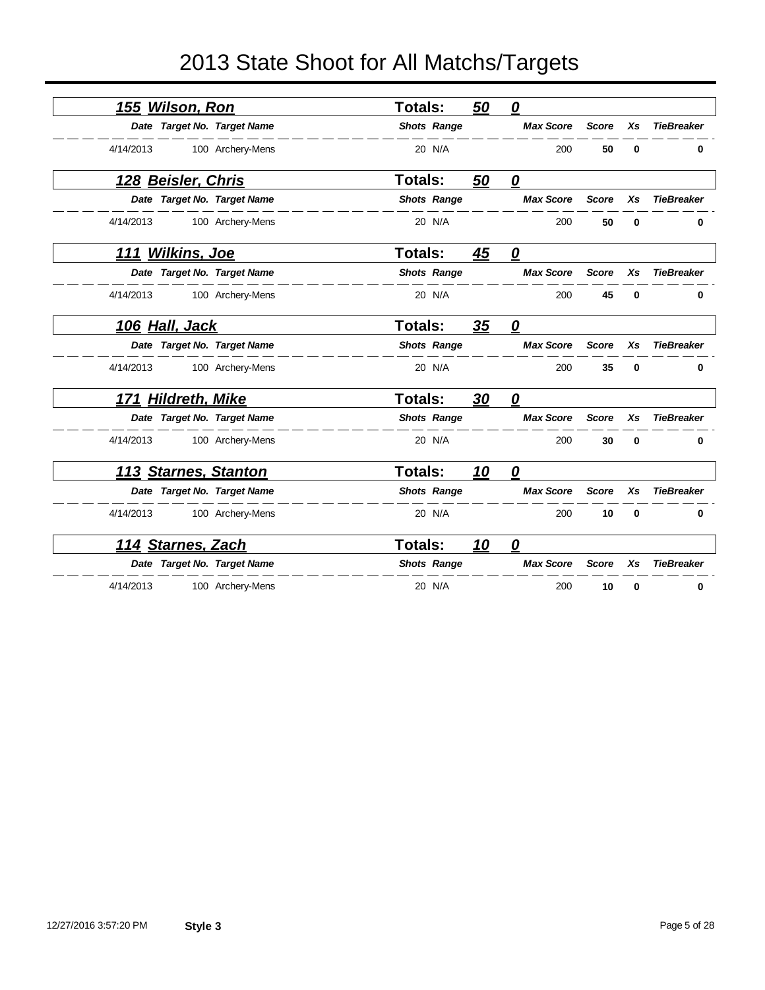| 155 Wilson, Ron              |                  | <b>Totals:</b>     | 50        | $\boldsymbol{0}$        |              |             |                   |
|------------------------------|------------------|--------------------|-----------|-------------------------|--------------|-------------|-------------------|
| Date Target No. Target Name  |                  | <b>Shots Range</b> |           | <b>Max Score</b>        | <b>Score</b> | Xs          | <b>TieBreaker</b> |
| 4/14/2013                    | 100 Archery-Mens | 20 N/A             |           | 200                     | 50           | $\bf{0}$    | 0                 |
| 128 Beisler, Chris           |                  | Totals:            | 50        | $\overline{\mathbf{0}}$ |              |             |                   |
| Date Target No. Target Name  |                  | <b>Shots Range</b> |           | <b>Max Score</b>        | <b>Score</b> | Xs          | <b>TieBreaker</b> |
| 4/14/2013                    | 100 Archery-Mens | 20 N/A             |           | 200                     | 50           | $\bf{0}$    | 0                 |
| <b>Wilkins, Joe</b><br>111   |                  | <b>Totals:</b>     | 45        | $\overline{\mathbf{0}}$ |              |             |                   |
| Date Target No. Target Name  |                  | <b>Shots Range</b> |           | <b>Max Score</b>        | <b>Score</b> | Xs          | <b>TieBreaker</b> |
| 4/14/2013                    | 100 Archery-Mens | 20 N/A             |           | 200                     | 45           | 0           | 0                 |
| 106 Hall, Jack               |                  | Totals:            | 35        | 0                       |              |             |                   |
| Date Target No. Target Name  |                  | <b>Shots Range</b> |           | <b>Max Score</b>        | <b>Score</b> | Xs          | <b>TieBreaker</b> |
| 4/14/2013                    | 100 Archery-Mens | 20 N/A             |           | 200                     | 35           | $\bf{0}$    | 0                 |
| <b>Hildreth, Mike</b><br>171 |                  | <b>Totals:</b>     | 30        | $\overline{\mathbf{0}}$ |              |             |                   |
| Date Target No. Target Name  |                  | <b>Shots Range</b> |           | <b>Max Score</b>        | <b>Score</b> | <b>Xs</b>   | <b>TieBreaker</b> |
| 4/14/2013                    | 100 Archery-Mens | 20 N/A             |           | 200                     | 30           | $\mathbf 0$ | 0                 |
| 113 Starnes, Stanton         |                  | <b>Totals:</b>     | 10        | $\overline{\mathbf{0}}$ |              |             |                   |
| Date Target No. Target Name  |                  | <b>Shots Range</b> |           | <b>Max Score</b>        | <b>Score</b> | Xs          | <b>TieBreaker</b> |
| 4/14/2013                    | 100 Archery-Mens | 20 N/A             |           | 200                     | 10           | $\mathbf 0$ | 0                 |
| 114 Starnes, Zach            |                  | <b>Totals:</b>     | <u>10</u> | 0                       |              |             |                   |
| Date Target No. Target Name  |                  | <b>Shots Range</b> |           | <b>Max Score</b>        | <b>Score</b> | Xs          | <b>TieBreaker</b> |
| 4/14/2013                    | 100 Archery-Mens | 20 N/A             |           | 200                     | 10           | 0           | 0                 |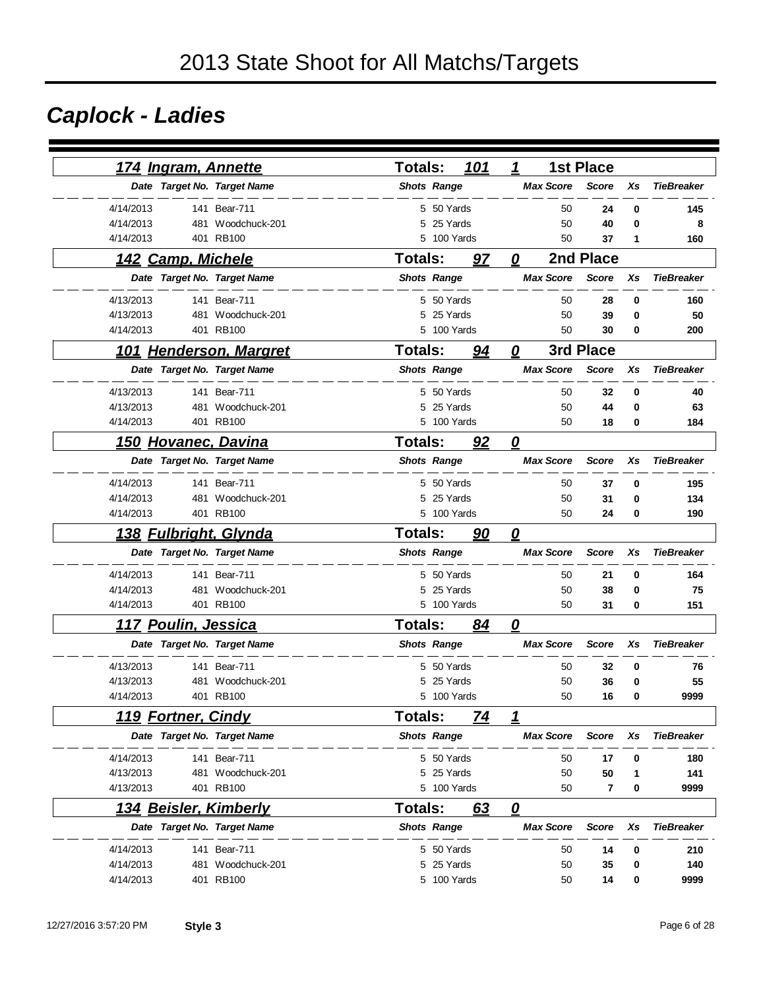# *Caplock - Ladies*

| <u>174 Ingram, Annette</u>   |                   | <b>Totals:</b>     |             | 101 | 1                                 |                  | <b>1st Place</b>        |    |                   |
|------------------------------|-------------------|--------------------|-------------|-----|-----------------------------------|------------------|-------------------------|----|-------------------|
| Date Target No. Target Name  |                   | <b>Shots Range</b> |             |     |                                   | <b>Max Score</b> | <b>Score</b>            | Xs | <b>TieBreaker</b> |
| 4/14/2013                    | 141 Bear-711      |                    | 5 50 Yards  |     |                                   | 50               | 24                      | 0  | 145               |
| 4/14/2013<br>481             | Woodchuck-201     |                    | 5 25 Yards  |     |                                   | 50               | 40                      | 0  | 8                 |
| 4/14/2013                    | 401 RB100         | 5                  | 100 Yards   |     |                                   | 50               | 37                      | 1  | 160               |
| 142 Camp, Michele            |                   | <b>Totals:</b>     |             | 97  | 0                                 |                  | 2nd Place               |    |                   |
| Date Target No. Target Name  |                   | <b>Shots Range</b> |             |     |                                   | <b>Max Score</b> | <b>Score</b>            | Xs | <b>TieBreaker</b> |
| 4/13/2013                    | 141 Bear-711      |                    | 5 50 Yards  |     |                                   | 50               | 28                      | 0  | 160               |
| 4/13/2013                    | 481 Woodchuck-201 | 5                  | 25 Yards    |     |                                   | 50               | 39                      | 0  | 50                |
| 4/14/2013                    | 401 RB100         | 5                  | 100 Yards   |     |                                   | 50               | 30                      | 0  | 200               |
| 101 Henderson, Margret       |                   | <b>Totals:</b>     |             | 94  | 0                                 |                  | 3rd Place               |    |                   |
| Date Target No. Target Name  |                   | <b>Shots Range</b> |             |     |                                   | <b>Max Score</b> | <b>Score</b>            | Xs | <b>TieBreaker</b> |
| 4/13/2013                    | 141 Bear-711      |                    | 5 50 Yards  |     |                                   | 50               | 32                      | 0  | 40                |
| 4/13/2013<br>481             | Woodchuck-201     | 5                  | 25 Yards    |     |                                   | 50               | 44                      | 0  | 63                |
| 4/14/2013                    | 401 RB100         |                    | 5 100 Yards |     |                                   | 50               | 18                      | 0  | 184               |
| 150 Hovanec, Davina          |                   | <b>Totals:</b>     |             | 92  | $\boldsymbol{\varrho}$            |                  |                         |    |                   |
| Date Target No. Target Name  |                   | <b>Shots Range</b> |             |     |                                   | <b>Max Score</b> | <b>Score</b>            | Xs | <b>TieBreaker</b> |
| 4/14/2013                    | 141 Bear-711      |                    | 5 50 Yards  |     |                                   | 50               | 37                      | 0  | 195               |
| 4/14/2013<br>481             | Woodchuck-201     | 5                  | 25 Yards    |     |                                   | 50               | 31                      | 0  | 134               |
| 4/14/2013                    | 401 RB100         |                    | 5 100 Yards |     |                                   | 50               | 24                      | 0  | 190               |
| <u>138 Fulbright, Glynda</u> |                   | <b>Totals:</b>     |             | 90  | $\overline{\boldsymbol{\varrho}}$ |                  |                         |    |                   |
| Date Target No. Target Name  |                   | <b>Shots Range</b> |             |     |                                   | <b>Max Score</b> | <b>Score</b>            | Xs | <b>TieBreaker</b> |
| 4/14/2013                    | 141 Bear-711      |                    | 5 50 Yards  |     |                                   | 50               | 21                      | 0  | 164               |
| 4/14/2013<br>481             | Woodchuck-201     |                    | 5 25 Yards  |     |                                   | 50               | 38                      | 0  | 75                |
| 4/14/2013                    | 401 RB100         |                    | 5 100 Yards |     |                                   | 50               | 31                      | 0  | 151               |
| 117 Poulin, Jessica          |                   | <b>Totals:</b>     |             | 84  | 0                                 |                  |                         |    |                   |
| Date Target No. Target Name  |                   | <b>Shots Range</b> |             |     |                                   | <b>Max Score</b> | <b>Score</b>            | Xs | <b>TieBreaker</b> |
| 4/13/2013<br>141             | <b>Bear-711</b>   |                    | 5 50 Yards  |     |                                   | 50               | 32                      | 0  | 76                |
| 4/13/2013<br>481             | Woodchuck-201     | 5                  | 25 Yards    |     |                                   | 50               | 36                      | 0  | 55                |
| 4/14/2013                    | 401 RB100         | 5                  | 100 Yards   |     |                                   | 50               | 16                      | 0  | 9999              |
| <b>119 Fortner, Cindy</b>    |                   | <b>Totals:</b>     |             | 74  | 1                                 |                  |                         |    |                   |
| Date Target No. Target Name  |                   | <b>Shots Range</b> |             |     |                                   | <b>Max Score</b> | <b>Score</b>            | Xs | <b>TieBreaker</b> |
| 4/14/2013                    | 141 Bear-711      |                    | 5 50 Yards  |     |                                   | 50               | 17                      | 0  | 180               |
| 4/13/2013                    | 481 Woodchuck-201 |                    | 5 25 Yards  |     |                                   | 50               | 50                      | 1  | 141               |
| 4/13/2013                    | 401 RB100         |                    | 5 100 Yards |     |                                   | 50               | $\overline{\mathbf{r}}$ | 0  | 9999              |
| 134 Beisler, Kimberly        |                   | <b>Totals:</b>     |             | 63  | $\overline{\mathbf{0}}$           |                  |                         |    |                   |
| Date Target No. Target Name  |                   | <b>Shots Range</b> |             |     |                                   | <b>Max Score</b> | <b>Score</b>            | Xs | <b>TieBreaker</b> |
| 4/14/2013                    | 141 Bear-711      |                    | 5 50 Yards  |     |                                   | 50               | 14                      | 0  | 210               |
| 4/14/2013<br>481             | Woodchuck-201     | 5                  | 25 Yards    |     |                                   | 50               | 35                      | 0  | 140               |
| 4/14/2013                    | 401 RB100         |                    | 5 100 Yards |     |                                   | 50               | 14                      | 0  | 9999              |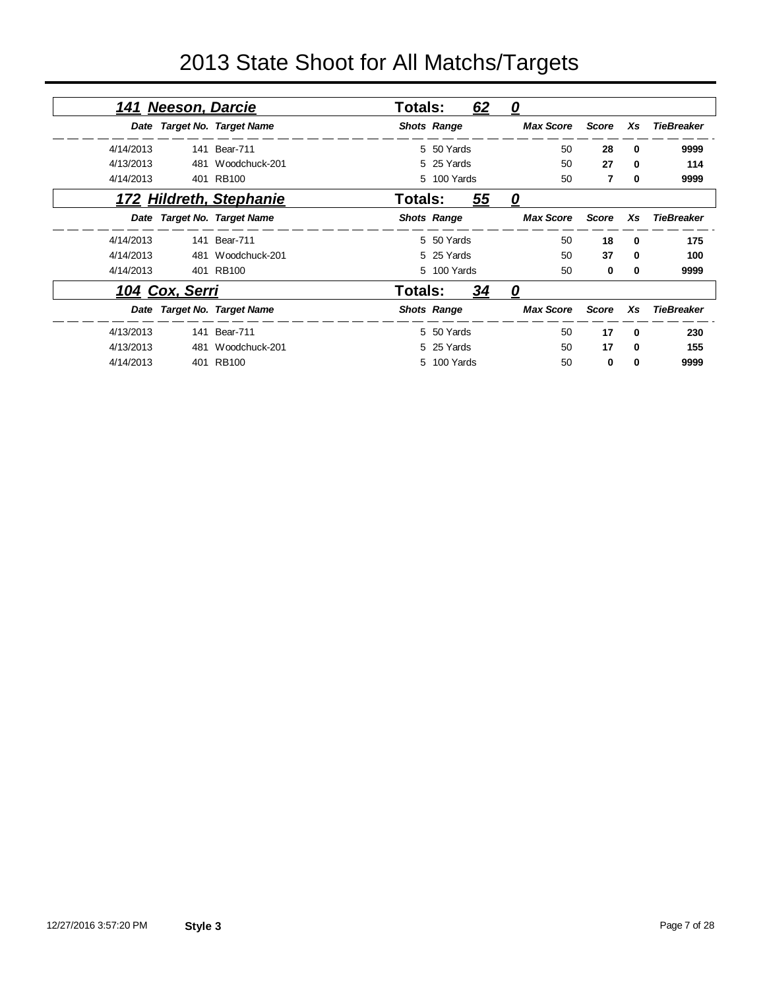|           | 141 Neeson, Darcie |                             | Totals: |                    | 62 | <u>0</u>         |              |          |                   |
|-----------|--------------------|-----------------------------|---------|--------------------|----|------------------|--------------|----------|-------------------|
|           |                    | Date Target No. Target Name |         | <b>Shots Range</b> |    | <b>Max Score</b> | <b>Score</b> | Xs       | <b>TieBreaker</b> |
| 4/14/2013 |                    | 141 Bear-711                |         | 5 50 Yards         |    | 50               | 28           | 0        | 9999              |
| 4/13/2013 | 481                | Woodchuck-201               |         | 5 25 Yards         |    | 50               | 27           | 0        | 114               |
| 4/14/2013 |                    | 401 RB100                   |         | 5 100 Yards        |    | 50               | 7            | $\bf{0}$ | 9999              |
|           |                    | 172 Hildreth, Stephanie     | Totals: |                    | 55 | 0                |              |          |                   |
|           |                    | Date Target No. Target Name |         | <b>Shots Range</b> |    | <b>Max Score</b> | <b>Score</b> | Xs       | <b>TieBreaker</b> |
| 4/14/2013 |                    | 141 Bear-711                |         | 5 50 Yards         |    | 50               | 18           | 0        | 175               |
| 4/14/2013 |                    | 481 Woodchuck-201           |         | 5 25 Yards         |    | 50               | 37           | 0        | 100               |
| 4/14/2013 |                    | 401 RB100                   |         | 5 100 Yards        |    | 50               | 0            | 0        | 9999              |
|           | 104 Cox, Serri     |                             | Totals: |                    | 34 | 0                |              |          |                   |
|           |                    | Date Target No. Target Name |         | <b>Shots Range</b> |    | <b>Max Score</b> | <b>Score</b> | Xs       | <b>TieBreaker</b> |
| 4/13/2013 |                    | 141 Bear-711                |         | 5 50 Yards         |    | 50               | 17           | $\Omega$ | 230               |
| 4/13/2013 | 481                | Woodchuck-201               |         | 5 25 Yards         |    | 50               | 17           | $\Omega$ | 155               |
| 4/14/2013 |                    | 401 RB100                   |         | 5 100 Yards        |    | 50               | $\bf{0}$     | $\bf{0}$ | 9999              |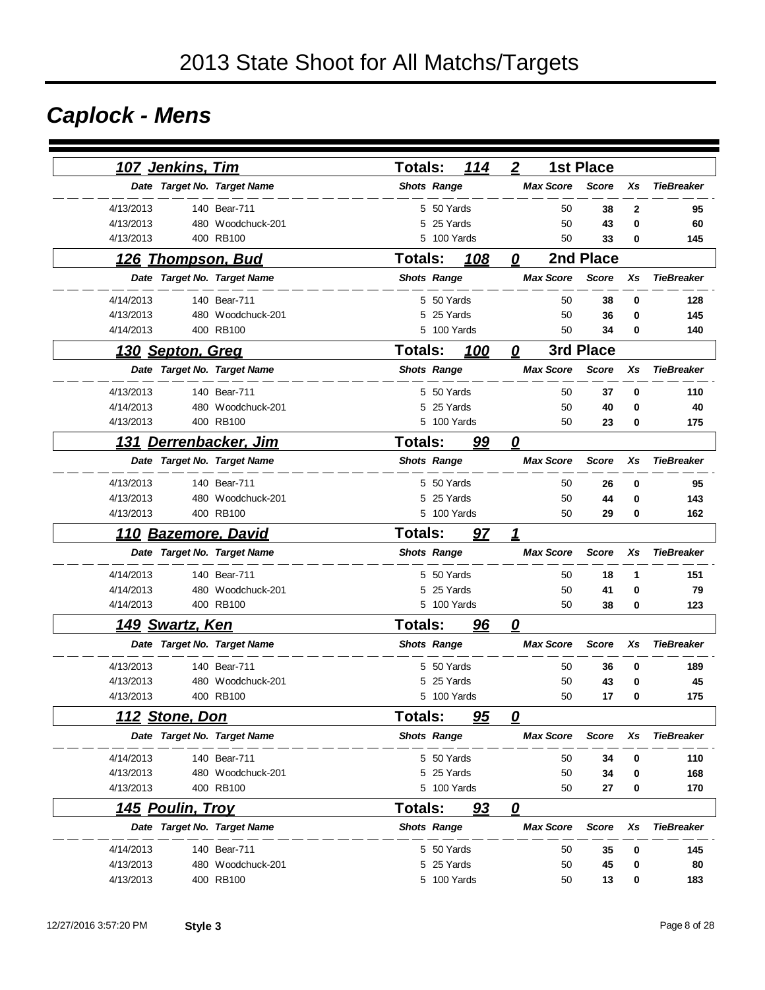# *Caplock - Mens*

| <u> 107 Jenkins, Tim</u> |                             | <b>Totals:</b>     | 114         | $\boldsymbol{2}$        | <b>1st Place</b> |    |                   |
|--------------------------|-----------------------------|--------------------|-------------|-------------------------|------------------|----|-------------------|
|                          | Date Target No. Target Name | <b>Shots Range</b> |             | <b>Max Score</b>        | <b>Score</b>     | Xs | <b>TieBreaker</b> |
| 4/13/2013                | 140 Bear-711                |                    | 5 50 Yards  | 50                      | 38               | 2  | 95                |
| 4/13/2013                | 480 Woodchuck-201           | 5                  | 25 Yards    | 50                      | 43               | 0  | 60                |
| 4/13/2013                | 400 RB100                   | 5                  | 100 Yards   | 50                      | 33               | 0  | 145               |
| <u>126 Thompson, Bud</u> |                             | <b>Totals:</b>     | 108         | 0                       | 2nd Place        |    |                   |
|                          | Date Target No. Target Name | <b>Shots Range</b> |             | <b>Max Score</b>        | <b>Score</b>     | Xs | <b>TieBreaker</b> |
| 4/14/2013                | 140 Bear-711                |                    | 5 50 Yards  | 50                      | 38               | 0  | 128               |
| 4/13/2013                | 480 Woodchuck-201           | 5                  | 25 Yards    | 50                      | 36               | 0  | 145               |
| 4/14/2013                | 400 RB100                   |                    | 5 100 Yards | 50                      | 34               | 0  | 140               |
| <u> 130 Septon, Greg</u> |                             | <b>Totals:</b>     | 100         | 0                       | 3rd Place        |    |                   |
|                          | Date Target No. Target Name | <b>Shots Range</b> |             | <b>Max Score</b>        | <b>Score</b>     | Xs | <b>TieBreaker</b> |
| 4/13/2013                | 140 Bear-711                |                    | 5 50 Yards  | 50                      | 37               | 0  | 110               |
| 4/14/2013                | 480 Woodchuck-201           |                    | 5 25 Yards  | 50                      | 40               | 0  | 40                |
| 4/13/2013                | 400 RB100                   |                    | 5 100 Yards | 50                      | 23               | 0  | 175               |
| 131                      | Derrenbacker, Jim           | <b>Totals:</b>     | 99          | $\overline{\mathbf{0}}$ |                  |    |                   |
|                          | Date Target No. Target Name | <b>Shots Range</b> |             | <b>Max Score</b>        | <b>Score</b>     | Xs | <b>TieBreaker</b> |
| 4/13/2013                | 140 Bear-711                |                    | 5 50 Yards  | 50                      | 26               | 0  | 95                |
| 4/13/2013                | 480 Woodchuck-201           |                    | 5 25 Yards  | 50                      | 44               | 0  | 143               |
| 4/13/2013                | 400 RB100                   |                    | 5 100 Yards | 50                      | 29               | 0  | 162               |
| 110                      | <b>Bazemore, David</b>      | <b>Totals:</b>     | 97          | 1                       |                  |    |                   |
|                          | Date Target No. Target Name | <b>Shots Range</b> |             | <b>Max Score</b>        | <b>Score</b>     | Xs | <b>TieBreaker</b> |
| 4/14/2013                | 140 Bear-711                |                    | 5 50 Yards  | 50                      | 18               | 1  | 151               |
| 4/14/2013                | 480 Woodchuck-201           | 5                  | 25 Yards    | 50                      | 41               | 0  | 79                |
| 4/14/2013                | 400 RB100                   |                    | 5 100 Yards | 50                      | 38               | 0  | 123               |
| <b>149 Swartz, Ken</b>   |                             | <b>Totals:</b>     | 96          | 0                       |                  |    |                   |
|                          | Date Target No. Target Name | <b>Shots Range</b> |             | <b>Max Score</b>        | <b>Score</b>     | Xs | <b>TieBreaker</b> |
| 4/13/2013                | 140 Bear-711                |                    | 5 50 Yards  | 50                      | 36               | 0  | 189               |
| 4/13/2013                | 480 Woodchuck-201           | 5                  | 25 Yards    | 50                      | 43               | 0  | 45                |
| 4/13/2013                | 400 RB100                   |                    | 5 100 Yards | 50                      | 17               | 0  | 175               |
| 112 Stone, Don           |                             | Totals:            | 95          | 0                       |                  |    |                   |
|                          | Date Target No. Target Name | <b>Shots Range</b> |             | <b>Max Score</b>        | <b>Score</b>     | Xs | <b>TieBreaker</b> |
| 4/14/2013                | 140 Bear-711                |                    | 5 50 Yards  | 50                      | 34               | 0  | 110               |
| 4/13/2013                | 480 Woodchuck-201           |                    | 5 25 Yards  | 50                      | 34               | 0  | 168               |
| 4/13/2013                | 400 RB100                   |                    | 5 100 Yards | 50                      | 27               | 0  | 170               |
| <u>145 Poulin, Troy</u>  |                             | <b>Totals:</b>     | 93          | $\overline{\mathbf{0}}$ |                  |    |                   |
|                          | Date Target No. Target Name | <b>Shots Range</b> |             | <b>Max Score</b>        | <b>Score</b>     | Xs | <b>TieBreaker</b> |
| 4/14/2013                | 140 Bear-711                |                    | 5 50 Yards  | 50                      | 35               | 0  | 145               |
| 4/13/2013                | 480 Woodchuck-201           |                    | 5 25 Yards  | 50                      | 45               | 0  | 80                |
| 4/13/2013                | 400 RB100                   |                    | 5 100 Yards | 50                      | 13               | 0  | 183               |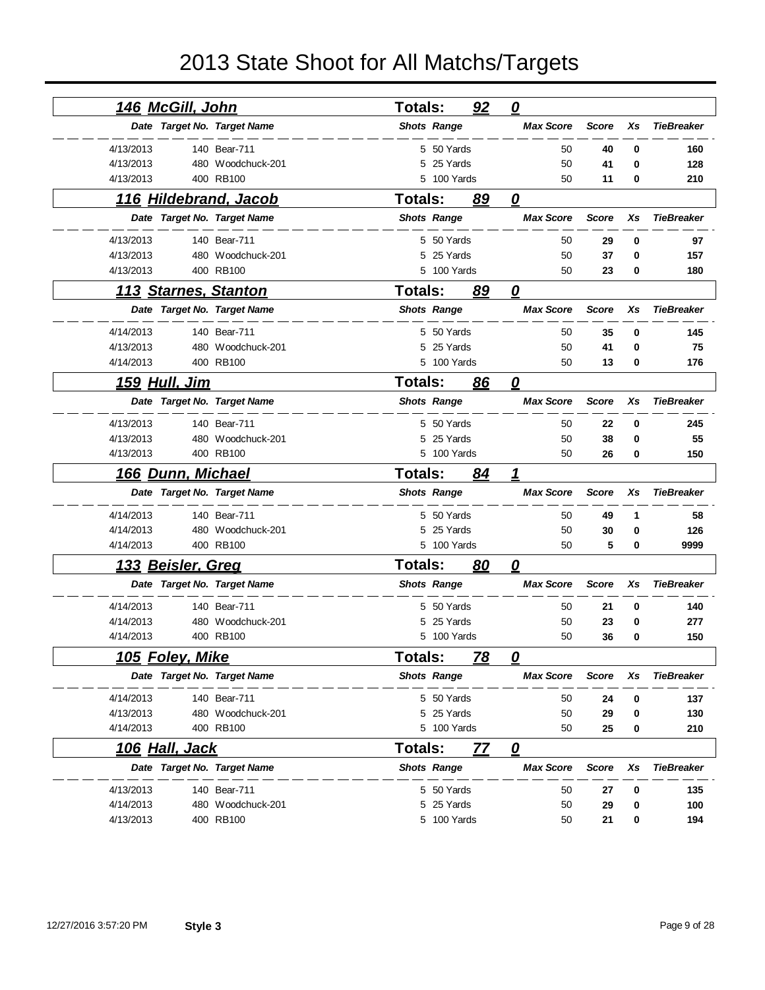| <u>146 McGill, John</u>     |                   | <b>Totals:</b> |                    | 92        | $\mathbf{\Omega}$       |              |    |                   |
|-----------------------------|-------------------|----------------|--------------------|-----------|-------------------------|--------------|----|-------------------|
| Date Target No. Target Name |                   |                | <b>Shots Range</b> |           | <b>Max Score</b>        | <b>Score</b> | Xs | <b>TieBreaker</b> |
| 4/13/2013                   | 140 Bear-711      |                | 5 50 Yards         |           | 50                      | 40           | 0  | 160               |
| 4/13/2013                   | 480 Woodchuck-201 |                | 5 25 Yards         |           | 50                      | 41           | 0  | 128               |
| 4/13/2013                   | 400 RB100         |                | 5 100 Yards        |           | 50                      | 11           | 0  | 210               |
| 116 Hildebrand, Jacob       |                   | <b>Totals:</b> |                    | 89        | 0                       |              |    |                   |
| Date Target No. Target Name |                   |                | <b>Shots Range</b> |           | <b>Max Score</b>        | <b>Score</b> | Xs | <b>TieBreaker</b> |
| 4/13/2013                   | 140 Bear-711      |                | 5 50 Yards         |           | 50                      | 29           | 0  | 97                |
| 4/13/2013                   | 480 Woodchuck-201 | 5              | 25 Yards           |           | 50                      | 37           | 0  | 157               |
| 4/13/2013                   | 400 RB100         |                | 5 100 Yards        |           | 50                      | 23           | 0  | 180               |
| <u>113 Starnes, Stanton</u> |                   | <b>Totals:</b> |                    | 89        | 0                       |              |    |                   |
| Date Target No. Target Name |                   |                | <b>Shots Range</b> |           | <b>Max Score</b>        | <b>Score</b> | Xs | <b>TieBreaker</b> |
| 4/14/2013                   | 140 Bear-711      |                | 5 50 Yards         |           | 50                      | 35           | 0  | 145               |
| 4/13/2013                   | 480 Woodchuck-201 |                | 5 25 Yards         |           | 50                      | 41           | 0  | 75                |
| 4/14/2013                   | 400 RB100         |                | 5 100 Yards        |           | 50                      | 13           | 0  | 176               |
| 159 Hull, Jim               |                   | <b>Totals:</b> |                    | 86        | 0                       |              |    |                   |
| Date Target No. Target Name |                   |                | <b>Shots Range</b> |           | <b>Max Score</b>        | <b>Score</b> | Xs | <b>TieBreaker</b> |
| 4/13/2013                   | 140 Bear-711      |                | 5 50 Yards         |           | 50                      | 22           | 0  | 245               |
| 4/13/2013                   | 480 Woodchuck-201 | 5              | 25 Yards           |           | 50                      | 38           | 0  | 55                |
| 4/13/2013                   | 400 RB100         | 5.             | 100 Yards          |           | 50                      | 26           | 0  | 150               |
|                             |                   |                |                    |           |                         |              |    |                   |
| 166 Dunn, Michael           |                   | <b>Totals:</b> |                    | 84        | 1                       |              |    |                   |
| Date Target No. Target Name |                   |                | <b>Shots Range</b> |           | <b>Max Score</b>        | <b>Score</b> | Xs | <b>TieBreaker</b> |
| 4/14/2013                   | 140 Bear-711      |                | 5 50 Yards         |           | 50                      | 49           | 1  | 58                |
| 4/14/2013                   | 480 Woodchuck-201 | 5.             | 25 Yards           |           | 50                      | 30           | 0  | 126               |
| 4/14/2013                   | 400 RB100         |                | 5 100 Yards        |           | 50                      | 5            | 0  | 9999              |
| 133 Beisler, Greg           |                   | <b>Totals:</b> |                    | 80        | $\boldsymbol{\varrho}$  |              |    |                   |
| Date Target No. Target Name |                   |                | <b>Shots Range</b> |           | <b>Max Score</b>        | <b>Score</b> | Xs | <b>TieBreaker</b> |
| 4/14/2013                   | 140 Bear-711      |                | 5 50 Yards         |           | 50                      | 21           | 0  | 140               |
| 4/14/2013                   | 480 Woodchuck-201 | 5              | 25 Yards           |           | 50                      | 23           | 0  | 277               |
| 4/14/2013                   | 400 RB100         |                | 5 100 Yards        |           | 50                      | 36           | 0  | 150               |
| <u> 105 Foley, Mike</u>     |                   | Totals:        |                    | <u>78</u> | <u>0</u>                |              |    |                   |
| Date Target No. Target Name |                   |                | <b>Shots Range</b> |           | <b>Max Score</b>        | <b>Score</b> | Xs | <b>TieBreaker</b> |
| 4/14/2013                   | 140 Bear-711      |                | 5 50 Yards         |           | 50                      | 24           | 0  | 137               |
| 4/13/2013                   | 480 Woodchuck-201 |                | 5 25 Yards         |           | 50                      | 29           | 0  | 130               |
| 4/14/2013                   | 400 RB100         |                | 5 100 Yards        |           | 50                      | 25           | 0  | 210               |
| <u>106 Hall, Jack</u>       |                   | Totals:        |                    | 77        | $\overline{\mathbf{0}}$ |              |    |                   |
| Date Target No. Target Name |                   |                | <b>Shots Range</b> |           | <b>Max Score</b>        | <b>Score</b> | Xs | <b>TieBreaker</b> |
| 4/13/2013                   | 140 Bear-711      |                | 5 50 Yards         |           | 50                      | 27           | 0  | 135               |
| 4/14/2013                   | 480 Woodchuck-201 |                | 5 25 Yards         |           | 50                      | 29           | 0  | 100               |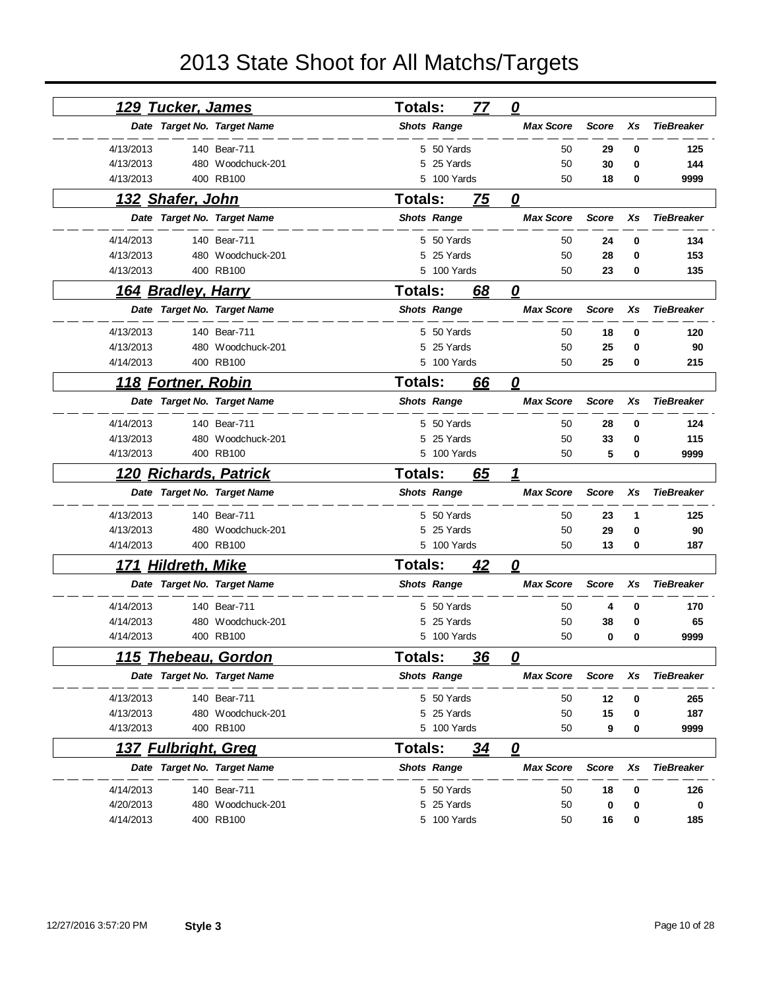| <u>129 Tucker, James</u>    |                   | <b>Totals:</b> |                    | 77        | $\mathbf{\Omega}$       |              |    |                   |
|-----------------------------|-------------------|----------------|--------------------|-----------|-------------------------|--------------|----|-------------------|
| Date Target No. Target Name |                   |                | <b>Shots Range</b> |           | <b>Max Score</b>        | <b>Score</b> | Xs | <b>TieBreaker</b> |
| 4/13/2013                   | 140 Bear-711      |                | 5 50 Yards         |           | 50                      | 29           | 0  | 125               |
| 4/13/2013                   | 480 Woodchuck-201 |                | 5 25 Yards         |           | 50                      | 30           | 0  | 144               |
| 4/13/2013                   | 400 RB100         |                | 5 100 Yards        |           | 50                      | 18           | 0  | 9999              |
| <u>132 Shafer, John</u>     |                   | <b>Totals:</b> |                    | 75        | 0                       |              |    |                   |
| Date Target No. Target Name |                   |                | <b>Shots Range</b> |           | <b>Max Score</b>        | <b>Score</b> | Xs | <b>TieBreaker</b> |
| 4/14/2013                   | 140 Bear-711      |                | 5 50 Yards         |           | 50                      | 24           | 0  | 134               |
| 4/13/2013                   | 480 Woodchuck-201 | 5              | 25 Yards           |           | 50                      | 28           | 0  | 153               |
| 4/13/2013                   | 400 RB100         |                | 5 100 Yards        |           | 50                      | 23           | 0  | 135               |
| 164 Bradley, Harry          |                   | <b>Totals:</b> |                    | 68        | 0                       |              |    |                   |
| Date Target No. Target Name |                   |                | <b>Shots Range</b> |           | <b>Max Score</b>        | <b>Score</b> | Xs | <b>TieBreaker</b> |
| 4/13/2013                   | 140 Bear-711      |                | 5 50 Yards         |           | 50                      | 18           | 0  | 120               |
| 4/13/2013                   | 480 Woodchuck-201 |                | 5 25 Yards         |           | 50                      | 25           | 0  | 90                |
| 4/14/2013                   | 400 RB100         |                | 5 100 Yards        |           | 50                      | 25           | 0  | 215               |
| <u>118 Fortner, Robin</u>   |                   | <b>Totals:</b> |                    | 66        | 0                       |              |    |                   |
| Date Target No. Target Name |                   |                | <b>Shots Range</b> |           | <b>Max Score</b>        | <b>Score</b> | Xs | <b>TieBreaker</b> |
| 4/14/2013                   | 140 Bear-711      |                | 5 50 Yards         |           | 50                      | 28           | 0  | 124               |
| 4/13/2013                   | 480 Woodchuck-201 | 5              | 25 Yards           |           | 50                      | 33           | 0  | 115               |
| 4/13/2013                   | 400 RB100         |                | 5 100 Yards        |           | 50                      | 5            | 0  | 9999              |
| 120 Richards, Patrick       |                   | <b>Totals:</b> |                    | 65        | 1                       |              |    |                   |
|                             |                   |                |                    |           |                         |              |    |                   |
| Date Target No. Target Name |                   |                | <b>Shots Range</b> |           | <b>Max Score</b>        | <b>Score</b> | Xs | <b>TieBreaker</b> |
| 4/13/2013                   | 140 Bear-711      |                | 5 50 Yards         |           | 50                      | 23           | 1  | 125               |
| 4/13/2013                   | 480 Woodchuck-201 | 5              | 25 Yards           |           | 50                      | 29           | 0  | 90                |
| 4/14/2013                   | 400 RB100         |                | 5 100 Yards        |           | 50                      | 13           | 0  | 187               |
| <u>171 Hildreth, Mike</u>   |                   | <b>Totals:</b> |                    | <u>42</u> | $\boldsymbol{\varrho}$  |              |    |                   |
| Date Target No. Target Name |                   |                | <b>Shots Range</b> |           | <b>Max Score</b>        | <b>Score</b> | Xs | <b>TieBreaker</b> |
| 4/14/2013                   | 140 Bear-711      |                | 5 50 Yards         |           | 50                      | 4            | 0  | 170               |
| 4/14/2013                   | 480 Woodchuck-201 | 5              | 25 Yards           |           | 50                      | 38           | 0  | 65                |
| 4/14/2013                   | 400 RB100         |                | 5 100 Yards        |           | 50                      | 0            | 0  | 9999              |
| <u>115  Thebeau, Gordon</u> |                   | Totals:        |                    | <u>36</u> | 0                       |              |    |                   |
| Date Target No. Target Name |                   |                | <b>Shots Range</b> |           | <b>Max Score</b>        | Score        | Xs | <b>TieBreaker</b> |
| 4/13/2013                   | 140 Bear-711      |                | 5 50 Yards         |           | 50                      | 12           | 0  | 265               |
| 4/13/2013                   | 480 Woodchuck-201 |                | 5 25 Yards         |           | 50                      | 15           | 0  | 187               |
| 4/13/2013                   | 400 RB100         |                | 5 100 Yards        |           | 50                      | 9            | 0  | 9999              |
| <u>137 Fulbright, Greg</u>  |                   | Totals:        |                    | <u>34</u> | $\overline{\mathbf{0}}$ |              |    |                   |
| Date Target No. Target Name |                   |                | <b>Shots Range</b> |           | <b>Max Score</b>        | <b>Score</b> | Xs | <b>TieBreaker</b> |
| 4/14/2013                   | 140 Bear-711      |                | 5 50 Yards         |           | 50                      | 18           | 0  | 126               |
| 4/20/2013                   | 480 Woodchuck-201 |                | 5 25 Yards         |           | 50                      | 0            | 0  | 0                 |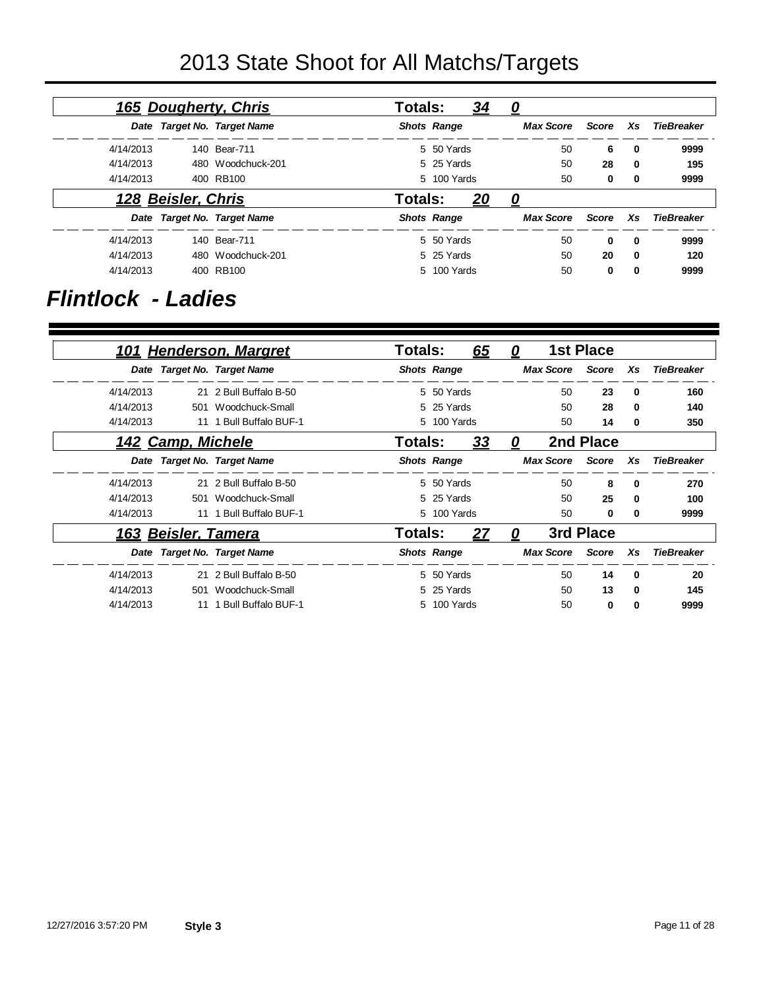|                   |          |       | 0                | <u>34</u>          | <b>Totals:</b> | <b>165 Dougherty, Chris</b> |                    |           |
|-------------------|----------|-------|------------------|--------------------|----------------|-----------------------------|--------------------|-----------|
| TieBreaker        | Xs.      | Score | <b>Max Score</b> | <b>Shots Range</b> |                | Date Target No. Target Name |                    |           |
| 9999              | $\bf{0}$ | 6     | 50               | 5 50 Yards         |                | 140 Bear-711                |                    | 4/14/2013 |
| 195               | $\bf{0}$ | 28    | 50               | 5 25 Yards         |                | 480 Woodchuck-201           |                    | 4/14/2013 |
| 9999              | 0        | 0     | 50               | 5 100 Yards        |                | 400 RB100                   |                    | 4/14/2013 |
|                   |          |       | 0                | 20                 | <b>Totals:</b> |                             | 128 Beisler, Chris |           |
| <b>TieBreaker</b> | Xs       | Score | <b>Max Score</b> | <b>Shots Range</b> |                | Date Target No. Target Name |                    |           |
| 9999              | $\bf{0}$ | 0     | 50               | 5 50 Yards         |                | 140 Bear-711                |                    | 4/14/2013 |
| 120               | $\bf{0}$ | 20    | 50               | 5 25 Yards         |                | 480 Woodchuck-201           |                    | 4/14/2013 |
| 9999              | 0        | 0     | 50               | 5 100 Yards        |                | 400 RB100                   |                    | 4/14/2013 |

### *Flintlock - Ladies*

|           |                     | 101 Henderson, Margret      | Totals:            |             | 65        | 0 |                  | <b>1st Place</b> |              |                   |
|-----------|---------------------|-----------------------------|--------------------|-------------|-----------|---|------------------|------------------|--------------|-------------------|
|           |                     | Date Target No. Target Name | <b>Shots Range</b> |             |           |   | <b>Max Score</b> | Score            | Xs           | <b>TieBreaker</b> |
| 4/14/2013 |                     | 21 2 Bull Buffalo B-50      |                    | 5 50 Yards  |           |   | 50               | 23               | $\bf{0}$     | 160               |
| 4/14/2013 |                     | 501 Woodchuck-Small         |                    | 5 25 Yards  |           |   | 50               | 28               | $\mathbf{0}$ | 140               |
| 4/14/2013 |                     | 11 1 Bull Buffalo BUF-1     |                    | 5 100 Yards |           |   | 50               | 14               | 0            | 350               |
|           | 142 Camp, Michele   |                             | Totals:            |             | <u>33</u> | 0 |                  | 2nd Place        |              |                   |
|           |                     | Date Target No. Target Name | <b>Shots Range</b> |             |           |   | <b>Max Score</b> | Score            | Xs           | <b>TieBreaker</b> |
| 4/14/2013 |                     | 21 2 Bull Buffalo B-50      |                    | 5 50 Yards  |           |   | 50               | 8                | $\bf{0}$     | 270               |
| 4/14/2013 |                     | 501 Woodchuck-Small         |                    | 5 25 Yards  |           |   | 50               | 25               | $\mathbf{0}$ | 100               |
| 4/14/2013 |                     | 11 1 Bull Buffalo BUF-1     |                    | 5 100 Yards |           |   | 50               | 0                | 0            | 9999              |
|           | 163 Beisler, Tamera |                             | Totals:            |             | 27        | 0 |                  | 3rd Place        |              |                   |
|           |                     | Date Target No. Target Name | <b>Shots Range</b> |             |           |   | <b>Max Score</b> | Score            | Xs           | <b>TieBreaker</b> |
| 4/14/2013 |                     | 21 2 Bull Buffalo B-50      |                    | 5 50 Yards  |           |   | 50               | 14               | $\bf{0}$     | 20                |
| 4/14/2013 |                     | 501 Woodchuck-Small         |                    | 5 25 Yards  |           |   | 50               | 13               | 0            | 145               |
| 4/14/2013 | 11                  | 1 Bull Buffalo BUF-1        |                    | 5 100 Yards |           |   | 50               | 0                | 0            | 9999              |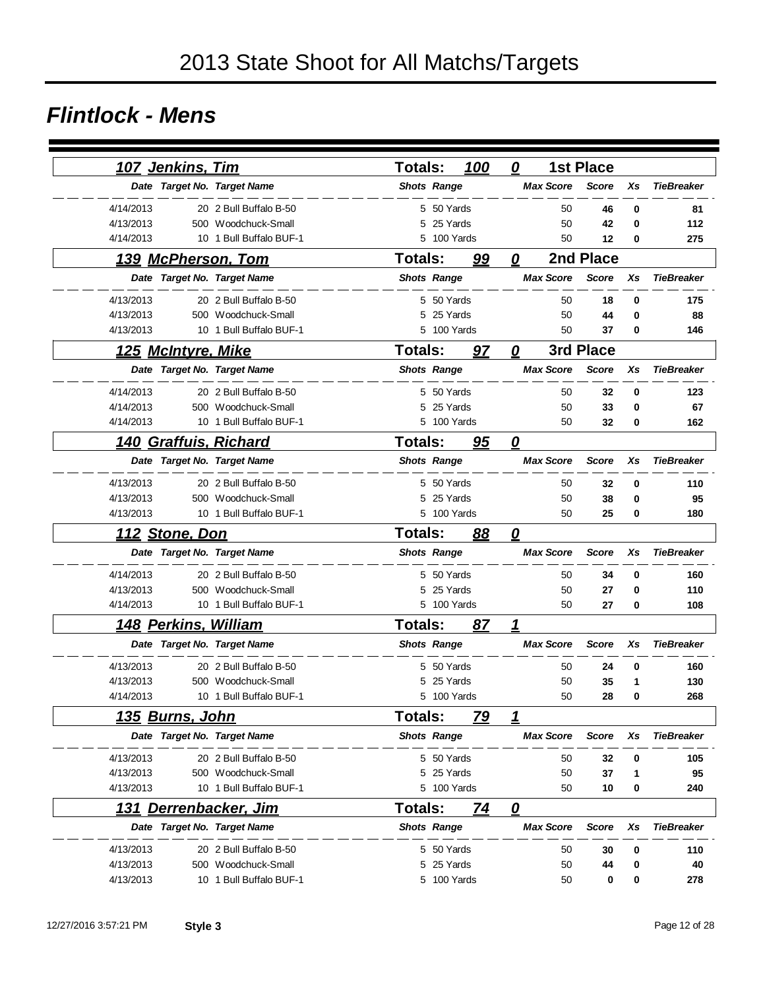#### *Flintlock - Mens*

| <u>107 Jenkins, Tim</u>      |                         | 100<br><b>Totals:</b>       | 0                                 | <b>1st Place</b>   |                   |
|------------------------------|-------------------------|-----------------------------|-----------------------------------|--------------------|-------------------|
| Date Target No. Target Name  |                         | <b>Shots Range</b>          | <b>Max Score</b>                  | <b>Score</b><br>Xs | <b>TieBreaker</b> |
| 4/14/2013                    | 20 2 Bull Buffalo B-50  | 5 50 Yards                  | 50                                | 46<br>0            | 81                |
| 4/13/2013                    | 500 Woodchuck-Small     | 25 Yards<br>5               | 50                                | 42<br>0            | 112               |
| 4/14/2013                    | 10 1 Bull Buffalo BUF-1 | 100 Yards<br>5              | 50                                | 12<br>0            | 275               |
| 139 McPherson, Tom           |                         | <b>Totals:</b><br>99        | 0                                 | 2nd Place          |                   |
| Date Target No. Target Name  |                         | <b>Shots Range</b>          | <b>Max Score</b>                  | <b>Score</b><br>Xs | <b>TieBreaker</b> |
| 4/13/2013                    | 20 2 Bull Buffalo B-50  | 5 50 Yards                  | 50                                | 0<br>18            | 175               |
| 4/13/2013                    | 500 Woodchuck-Small     | 25 Yards<br>5               | 50                                | 44<br>0            | 88                |
| 4/13/2013                    | 10 1 Bull Buffalo BUF-1 | 100 Yards<br>5              | 50                                | 37<br>0            | 146               |
| <u> 125 McIntyre, Mike</u>   |                         | <b>Totals:</b><br>97        | 0                                 | 3rd Place          |                   |
| Date Target No. Target Name  |                         | <b>Shots Range</b>          | <b>Max Score</b>                  | <b>Score</b><br>Xs | <b>TieBreaker</b> |
| 4/14/2013                    | 20 2 Bull Buffalo B-50  | 5 50 Yards                  | 50                                | 32<br>0            | 123               |
| 4/14/2013                    | 500 Woodchuck-Small     | 25 Yards<br>5               | 50                                | 33<br>0            | 67                |
| 4/14/2013                    | 10 1 Bull Buffalo BUF-1 | 5 100 Yards                 | 50                                | 32<br>0            | 162               |
| <u>140 Graffuis, Richard</u> |                         | <b>Totals:</b><br>95        | $\mathbf{Q}$                      |                    |                   |
| Date Target No. Target Name  |                         | <b>Shots Range</b>          | <b>Max Score</b>                  | <b>Score</b><br>Xs | <b>TieBreaker</b> |
| 4/13/2013                    | 20 2 Bull Buffalo B-50  | 5 50 Yards                  | 50                                | 32<br>0            | 110               |
| 4/13/2013                    | 500 Woodchuck-Small     | 25 Yards<br>5               | 50                                | 38<br>0            | 95                |
| 4/13/2013                    | 10 1 Bull Buffalo BUF-1 | 5 100 Yards                 | 50                                | 25<br>0            | 180               |
| <u> 112 Stone, Don</u>       |                         | <b>Totals:</b><br>88        | $\overline{\boldsymbol{\varrho}}$ |                    |                   |
| Date Target No. Target Name  |                         | <b>Shots Range</b>          | <b>Max Score</b>                  | <b>Score</b><br>Xs | <b>TieBreaker</b> |
| 4/14/2013                    | 20 2 Bull Buffalo B-50  | 5 50 Yards                  | 50                                | 34<br>0            | 160               |
| 4/13/2013                    | 500 Woodchuck-Small     | 25 Yards<br>5               | 50                                | 27<br>0            | 110               |
| 4/14/2013                    | 10 1 Bull Buffalo BUF-1 | 5 100 Yards                 | 50                                | 27<br>0            | 108               |
| 148 Perkins, William         |                         | <b>Totals:</b><br>87        | 1                                 |                    |                   |
| Date Target No. Target Name  |                         | <b>Shots Range</b>          | <b>Max Score</b>                  | <b>Score</b><br>Xs | <b>TieBreaker</b> |
| 4/13/2013                    | 20 2 Bull Buffalo B-50  | 50 Yards<br>5.              | 50                                | 24<br>0            | 160               |
| 4/13/2013                    | 500 Woodchuck-Small     | 25 Yards<br>5               | 50                                | 35<br>1            | 130               |
| 4/14/2013                    | 10 1 Bull Buffalo BUF-1 | 5<br>100 Yards              | 50                                | 28<br>0            | 268               |
| 135 Burns, John              |                         | <b>Totals:</b><br><u>79</u> | 1                                 |                    |                   |
| Date Target No. Target Name  |                         | <b>Shots Range</b>          | <b>Max Score</b>                  | <b>Score</b><br>Xs | <b>TieBreaker</b> |
| 4/13/2013                    | 20 2 Bull Buffalo B-50  | 5 50 Yards                  | 50                                | 32<br>0            | 105               |
| 4/13/2013                    | 500 Woodchuck-Small     | 5 25 Yards                  | 50                                | 37<br>1            | 95                |
| 4/13/2013                    | 10 1 Bull Buffalo BUF-1 | 5 100 Yards                 | 50                                | 0<br>10            | 240               |
| <u>131 Derrenbacker, Jim</u> |                         | <b>Totals:</b><br>74        | $\overline{\mathbf{0}}$           |                    |                   |
| Date Target No. Target Name  |                         | <b>Shots Range</b>          | <b>Max Score</b>                  | <b>Score</b><br>Xs | <b>TieBreaker</b> |
| 4/13/2013                    | 20 2 Bull Buffalo B-50  | 5 50 Yards                  | 50                                | 30<br>0            | 110               |
| 4/13/2013                    | 500 Woodchuck-Small     | 25 Yards<br>5               | 50                                | 44<br>0            | 40                |
| 4/13/2013                    | 10 1 Bull Buffalo BUF-1 | 5 100 Yards                 | 50                                | 0<br>0             | 278               |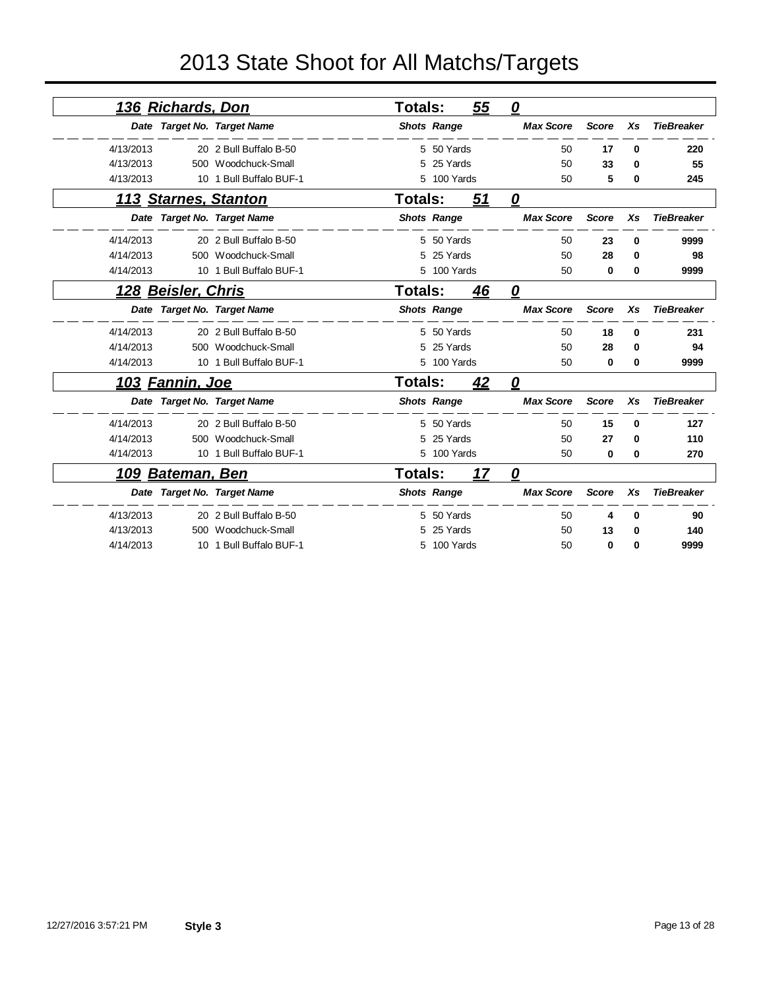|           | <u>136 Richards, Don</u> |                             | Totals:            |             | <u>55</u> | $\boldsymbol{\varrho}$ |              |    |                   |
|-----------|--------------------------|-----------------------------|--------------------|-------------|-----------|------------------------|--------------|----|-------------------|
|           |                          | Date Target No. Target Name | <b>Shots Range</b> |             |           | <b>Max Score</b>       | <b>Score</b> | Xs | <b>TieBreaker</b> |
| 4/13/2013 |                          | 20 2 Bull Buffalo B-50      |                    | 5 50 Yards  |           | 50                     | 17           | 0  | 220               |
| 4/13/2013 |                          | 500 Woodchuck-Small         |                    | 25 Yards    |           | 50                     | 33           | 0  | 55                |
| 4/13/2013 | 10                       | 1 Bull Buffalo BUF-1        | 5                  | 100 Yards   |           | 50                     | 5            | 0  | 245               |
|           |                          | <b>113 Starnes, Stanton</b> | <b>Totals:</b>     |             | 51        | $\mathbf{\Omega}$      |              |    |                   |
|           |                          | Date Target No. Target Name | <b>Shots Range</b> |             |           | <b>Max Score</b>       | <b>Score</b> | Xs | <b>TieBreaker</b> |
| 4/14/2013 |                          | 20 2 Bull Buffalo B-50      |                    | 5 50 Yards  |           | 50                     | 23           | 0  | 9999              |
| 4/14/2013 |                          | 500 Woodchuck-Small         |                    | 25 Yards    |           | 50                     | 28           | 0  | 98                |
| 4/14/2013 |                          | 10 1 Bull Buffalo BUF-1     |                    | 5 100 Yards |           | 50                     | 0            | 0  | 9999              |
|           | 128 Beisler, Chris       |                             | Totals:            |             | 46        | 0                      |              |    |                   |
|           |                          | Date Target No. Target Name | <b>Shots Range</b> |             |           | <b>Max Score</b>       | <b>Score</b> | Xs | <b>TieBreaker</b> |
| 4/14/2013 |                          | 20 2 Bull Buffalo B-50      |                    | 5 50 Yards  |           | 50                     | 18           | 0  | 231               |
| 4/14/2013 |                          | 500 Woodchuck-Small         |                    | 25 Yards    |           | 50                     | 28           | 0  | 94                |
| 4/14/2013 |                          | 10 1 Bull Buffalo BUF-1     |                    | 5 100 Yards |           | 50                     | 0            | 0  | 9999              |
|           | <u>103 Fannin, Joe</u>   |                             | <b>Totals:</b>     |             | 42        | 0                      |              |    |                   |
|           |                          | Date Target No. Target Name | <b>Shots Range</b> |             |           | <b>Max Score</b>       | <b>Score</b> | Xs | <b>TieBreaker</b> |
| 4/14/2013 |                          | 20 2 Bull Buffalo B-50      |                    | 5 50 Yards  |           | 50                     | 15           | 0  | 127               |
| 4/14/2013 |                          | 500 Woodchuck-Small         | 5                  | 25 Yards    |           | 50                     | 27           | 0  | 110               |
| 4/14/2013 |                          | 10 1 Bull Buffalo BUF-1     |                    | 5 100 Yards |           | 50                     | 0            | 0  | 270               |
|           | <u>109 Bateman, Ben</u>  |                             | Totals:            |             | 17        | 0                      |              |    |                   |
|           |                          | Date Target No. Target Name | <b>Shots Range</b> |             |           | <b>Max Score</b>       | <b>Score</b> | Xs | <b>TieBreaker</b> |
| 4/13/2013 |                          | 20 2 Bull Buffalo B-50      |                    | 50 Yards    |           | 50                     | 4            | 0  | 90                |
| 4/13/2013 |                          | 500 Woodchuck-Small         |                    | 25 Yards    |           | 50                     | 13           | 0  | 140               |
| 4/14/2013 |                          | 10 1 Bull Buffalo BUF-1     | 5                  | 100 Yards   |           | 50                     | 0            | 0  | 9999              |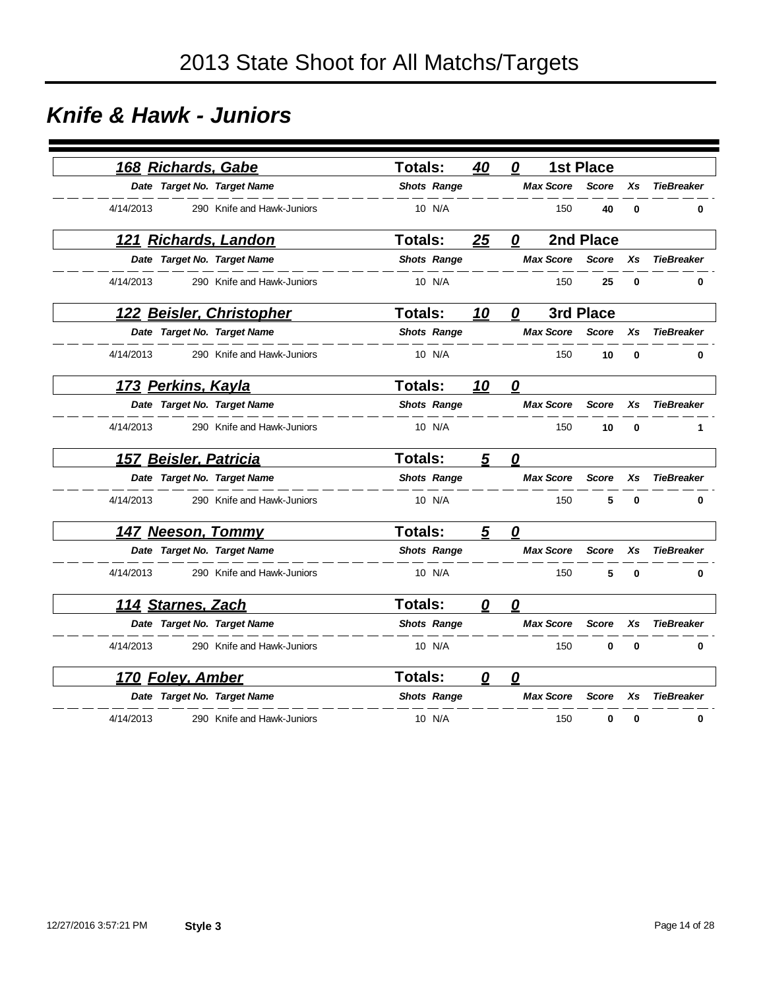### *Knife & Hawk - Juniors*

|           |                         | 168 Richards, Gabe          | <b>Totals:</b>     | 40        | 0                |                  | <b>1st Place</b> |          |                   |
|-----------|-------------------------|-----------------------------|--------------------|-----------|------------------|------------------|------------------|----------|-------------------|
|           |                         | Date Target No. Target Name | <b>Shots Range</b> |           |                  | <b>Max Score</b> | <b>Score</b>     | Xs       | <b>TieBreaker</b> |
| 4/14/2013 |                         | 290 Knife and Hawk-Juniors  | 10 N/A             |           |                  | 150              | 40               | 0        | $\bf{0}$          |
|           |                         | <u>121 Richards, Landon</u> | <b>Totals:</b>     | 25        | 0                |                  | 2nd Place        |          |                   |
|           |                         | Date Target No. Target Name | <b>Shots Range</b> |           |                  | <b>Max Score</b> | <b>Score</b>     | Xs       | <b>TieBreaker</b> |
| 4/14/2013 |                         | 290 Knife and Hawk-Juniors  | 10 N/A             |           |                  | 150              | 25               | 0        | 0                 |
|           |                         | 122 Beisler, Christopher    | <b>Totals:</b>     | 10        | 0                |                  | 3rd Place        |          |                   |
|           |                         | Date Target No. Target Name | <b>Shots Range</b> |           |                  | <b>Max Score</b> | <b>Score</b>     | Xs       | <b>TieBreaker</b> |
| 4/14/2013 |                         | 290 Knife and Hawk-Juniors  | 10 N/A             |           |                  | 150              | 10               | 0        | 0                 |
|           | 173 Perkins, Kayla      |                             | <b>Totals:</b>     | <u>10</u> | 0                |                  |                  |          |                   |
|           |                         | Date Target No. Target Name | <b>Shots Range</b> |           |                  | <b>Max Score</b> | <b>Score</b>     | Xs       | <b>TieBreaker</b> |
| 4/14/2013 |                         | 290 Knife and Hawk-Juniors  | 10 N/A             |           |                  | 150              | 10               | 0        | 1                 |
|           |                         | 157 Beisler, Patricia       | Totals:            | 5         | 0                |                  |                  |          |                   |
|           |                         | Date Target No. Target Name | <b>Shots Range</b> |           |                  | <b>Max Score</b> | <b>Score</b>     | Xs       | <b>TieBreaker</b> |
| 4/14/2013 |                         | 290 Knife and Hawk-Juniors  | 10 N/A             |           |                  | 150              | 5                | 0        | 0                 |
|           |                         | 147 Neeson, Tommy           | Totals:            | 5         | 0                |                  |                  |          |                   |
|           |                         | Date Target No. Target Name | <b>Shots Range</b> |           |                  | <b>Max Score</b> | <b>Score</b>     | Xs       | <b>TieBreaker</b> |
| 4/14/2013 |                         | 290 Knife and Hawk-Juniors  | 10 N/A             |           |                  | 150              | 5                | 0        | 0                 |
|           | 114 Starnes, Zach       |                             | Totals:            | 0         | 0                |                  |                  |          |                   |
|           |                         | Date Target No. Target Name | <b>Shots Range</b> |           |                  | <b>Max Score</b> | <b>Score</b>     | Xs       | <b>TieBreaker</b> |
| 4/14/2013 |                         | 290 Knife and Hawk-Juniors  | 10 N/A             |           |                  | 150              | $\bf{0}$         | $\bf{0}$ | $\bf{0}$          |
|           | <u>170 Foley, Amber</u> |                             | <b>Totals:</b>     | 0         | $\boldsymbol{0}$ |                  |                  |          |                   |
|           |                         | Date Target No. Target Name | <b>Shots Range</b> |           |                  | <b>Max Score</b> | <b>Score</b>     | Xs       | <b>TieBreaker</b> |
| 4/14/2013 |                         | 290 Knife and Hawk-Juniors  | 10 N/A             |           |                  | 150              | 0                | 0        | 0                 |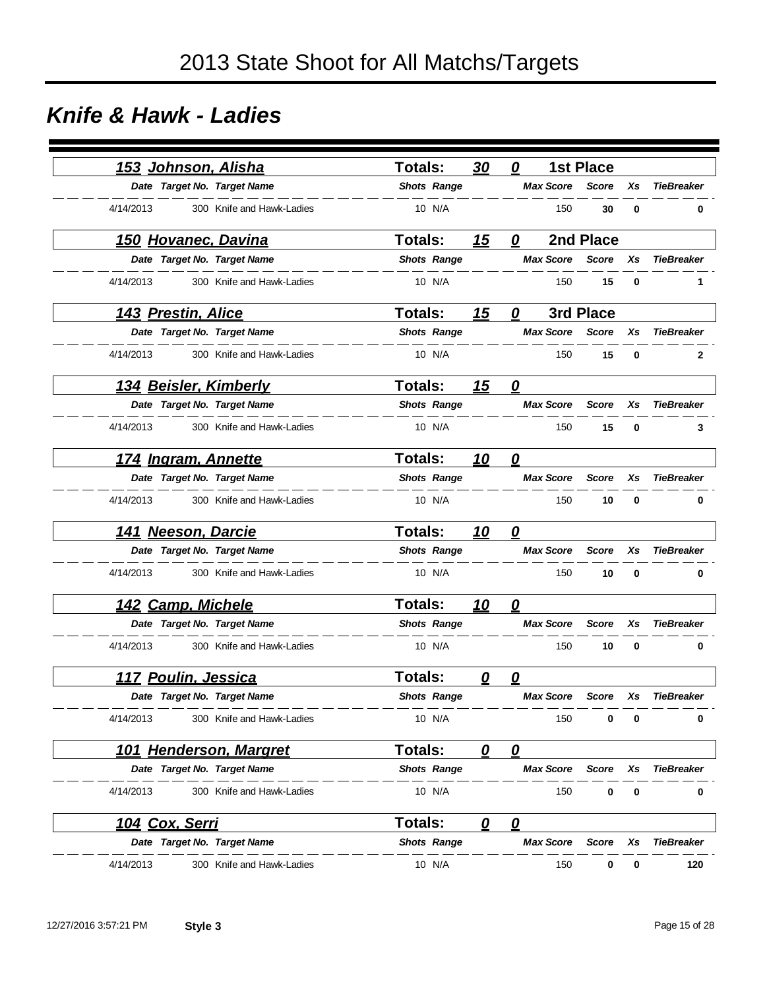### *Knife & Hawk - Ladies*

|           |                       | <u>153 Johnson, Alisha</u>   | <b>Totals:</b>     | 30                | 0                       |                  | <b>1st Place</b> |    |                   |
|-----------|-----------------------|------------------------------|--------------------|-------------------|-------------------------|------------------|------------------|----|-------------------|
|           |                       | Date Target No. Target Name  | <b>Shots Range</b> |                   |                         | <b>Max Score</b> | <b>Score</b>     | Xs | <b>TieBreaker</b> |
| 4/14/2013 |                       | 300 Knife and Hawk-Ladies    | 10 N/A             |                   |                         | 150              | 30               | 0  | 0                 |
|           |                       | <u>150 Hovanec, Davina</u>   | <b>Totals:</b>     | 15                | 0                       |                  | 2nd Place        |    |                   |
|           |                       | Date Target No. Target Name  | <b>Shots Range</b> |                   |                         | <b>Max Score</b> | <b>Score</b>     | Xs | <b>TieBreaker</b> |
| 4/14/2013 |                       | 300 Knife and Hawk-Ladies    | 10 N/A             |                   |                         | 150              | 15               | 0  | 1                 |
|           | 143 Prestin, Alice    |                              | <b>Totals:</b>     | 15                | 0                       |                  | 3rd Place        |    |                   |
|           |                       | Date Target No. Target Name  | <b>Shots Range</b> |                   |                         | <b>Max Score</b> | <b>Score</b>     | Xs | <b>TieBreaker</b> |
| 4/14/2013 |                       | 300 Knife and Hawk-Ladies    | 10 N/A             |                   |                         | 150              | 15               | 0  | 2                 |
|           |                       | <u>134 Beisler, Kimberly</u> | <b>Totals:</b>     | 15                | $\overline{\mathbf{0}}$ |                  |                  |    |                   |
|           |                       | Date Target No. Target Name  | <b>Shots Range</b> |                   |                         | <b>Max Score</b> | <b>Score</b>     | Xs | <b>TieBreaker</b> |
| 4/14/2013 |                       | 300 Knife and Hawk-Ladies    | 10 N/A             |                   |                         | 150              | 15               | 0  | 3                 |
|           |                       | 174 Ingram, Annette          | <b>Totals:</b>     | 10                | $\overline{\mathbf{0}}$ |                  |                  |    |                   |
|           |                       | Date Target No. Target Name  | <b>Shots Range</b> |                   |                         | <b>Max Score</b> | <b>Score</b>     | Xs | <b>TieBreaker</b> |
| 4/14/2013 |                       | 300 Knife and Hawk-Ladies    | 10 N/A             |                   |                         | 150              | 10               | 0  | 0                 |
|           | 141 Neeson, Darcie    |                              | Totals:            | <u> 10</u>        | 0                       |                  |                  |    |                   |
|           |                       | Date Target No. Target Name  | <b>Shots Range</b> |                   |                         | <b>Max Score</b> | <b>Score</b>     | Xs | <b>TieBreaker</b> |
| 4/14/2013 |                       | 300 Knife and Hawk-Ladies    | 10 N/A             |                   |                         | 150              | 10               | 0  | 0                 |
|           | 142 Camp, Michele     |                              | <b>Totals:</b>     | <u>10</u>         | 0                       |                  |                  |    |                   |
|           |                       | Date Target No. Target Name  | <b>Shots Range</b> |                   |                         | <b>Max Score</b> | <b>Score</b>     | Xs | <b>TieBreaker</b> |
| 4/14/2013 |                       | 300 Knife and Hawk-Ladies    | 10 N/A             |                   |                         | 150              | 10               | 0  | 0                 |
|           | 117 Poulin, Jessica   |                              | <b>Totals:</b>     | 0                 | 0                       |                  |                  |    |                   |
|           |                       | Date Target No. Target Name  | <b>Shots Range</b> |                   |                         | <b>Max Score</b> | Score            | Xs | <b>TieBreaker</b> |
| 4/14/2013 |                       | 300 Knife and Hawk-Ladies    | 10 N/A             |                   |                         | 150              | 0                | 0  | 0                 |
|           |                       | 101 Henderson, Margret       | Totals:            | $\mathbf{\Omega}$ | $\mathbf{\Omega}$       |                  |                  |    |                   |
|           |                       | Date Target No. Target Name  | <b>Shots Range</b> |                   |                         | <b>Max Score</b> | <b>Score</b>     | Xs | <b>TieBreaker</b> |
| 4/14/2013 |                       | 300 Knife and Hawk-Ladies    | 10 N/A             |                   |                         | 150              | 0                | 0  | 0                 |
|           | <u>104 Cox, Serri</u> |                              | <b>Totals:</b>     | 0                 | $\overline{\mathbf{0}}$ |                  |                  |    |                   |
|           |                       | Date Target No. Target Name  | <b>Shots Range</b> |                   |                         | <b>Max Score</b> | Score            | Xs | <b>TieBreaker</b> |
| 4/14/2013 |                       | 300 Knife and Hawk-Ladies    | 10 N/A             |                   |                         | 150              | 0                | 0  | 120               |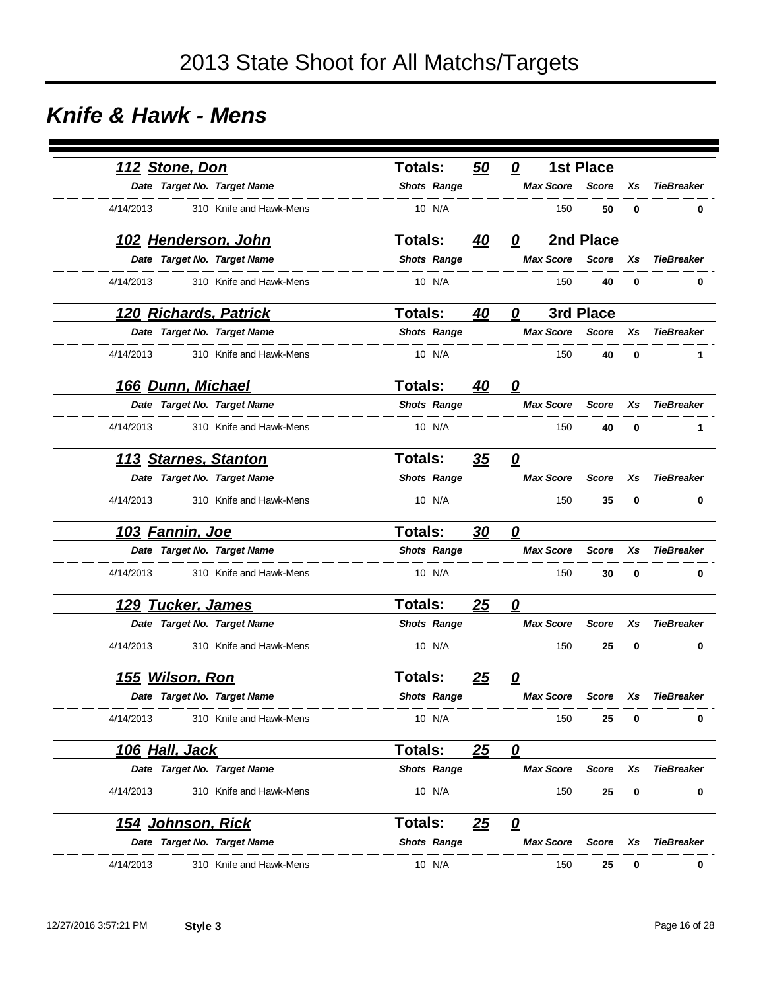### *Knife & Hawk - Mens*

|           | 112 Stone, Don           |                              | <b>Totals:</b> |                    | 50         | 0                 |                  | <b>1st Place</b> |             |                   |
|-----------|--------------------------|------------------------------|----------------|--------------------|------------|-------------------|------------------|------------------|-------------|-------------------|
|           |                          | Date Target No. Target Name  |                | <b>Shots Range</b> |            |                   | <b>Max Score</b> | <b>Score</b>     | Xs          | <b>TieBreaker</b> |
| 4/14/2013 |                          | 310 Knife and Hawk-Mens      |                | 10 N/A             |            |                   | 150              | 50               | $\bf{0}$    | 0                 |
|           |                          | <u>102 Henderson, John</u>   | <b>Totals:</b> |                    | 40         | 0                 |                  | 2nd Place        |             |                   |
|           |                          | Date Target No. Target Name  |                | <b>Shots Range</b> |            |                   | <b>Max Score</b> | <b>Score</b>     | Xs          | <b>TieBreaker</b> |
| 4/14/2013 |                          | 310 Knife and Hawk-Mens      |                | 10 N/A             |            |                   | 150              | 40               | $\bf{0}$    | 0                 |
|           |                          | <u>120 Richards, Patrick</u> | <b>Totals:</b> |                    | 40         | 0                 |                  | 3rd Place        |             |                   |
|           |                          | Date Target No. Target Name  |                | <b>Shots Range</b> |            |                   | <b>Max Score</b> | <b>Score</b>     | Xs          | <b>TieBreaker</b> |
| 4/14/2013 |                          | 310 Knife and Hawk-Mens      |                | 10 N/A             |            |                   | 150              | 40               | $\mathbf 0$ | 1                 |
|           | 166 Dunn, Michael        |                              | <b>Totals:</b> |                    | 40         | $\boldsymbol{0}$  |                  |                  |             |                   |
|           |                          | Date Target No. Target Name  |                | <b>Shots Range</b> |            |                   | <b>Max Score</b> | <b>Score</b>     | Xs          | <b>TieBreaker</b> |
| 4/14/2013 |                          | 310 Knife and Hawk-Mens      |                | 10 N/A             |            |                   | 150              | 40               | 0           | 1                 |
|           |                          | 113 Starnes, Stanton         | <b>Totals:</b> |                    | 35         | 0                 |                  |                  |             |                   |
|           |                          | Date Target No. Target Name  |                | <b>Shots Range</b> |            |                   | <b>Max Score</b> | <b>Score</b>     | Xs          | <b>TieBreaker</b> |
| 4/14/2013 |                          | 310 Knife and Hawk-Mens      |                | 10 N/A             |            |                   | 150              | 35               | 0           | 0                 |
|           | 103 Fannin, Joe          |                              | <b>Totals:</b> |                    | <u>30</u>  | 0                 |                  |                  |             |                   |
|           |                          | Date Target No. Target Name  |                | <b>Shots Range</b> |            |                   | <b>Max Score</b> | <b>Score</b>     | Xs          | <b>TieBreaker</b> |
| 4/14/2013 |                          | 310 Knife and Hawk-Mens      |                | 10 N/A             |            |                   | 150              | 30               | 0           | 0                 |
|           | <b>129 Tucker, James</b> |                              | Totals:        |                    | 25         | 0                 |                  |                  |             |                   |
|           |                          | Date Target No. Target Name  |                | <b>Shots Range</b> |            |                   | <b>Max Score</b> | <b>Score</b>     | Xs          | <b>TieBreaker</b> |
| 4/14/2013 |                          | 310 Knife and Hawk-Mens      |                | 10 N/A             |            |                   | 150              | 25               | 0           | 0                 |
|           | 155 Wilson, Ron          |                              | <b>Totals:</b> |                    | 25         | 0                 |                  |                  |             |                   |
|           |                          | Date Target No. Target Name  |                | <b>Shots Range</b> |            |                   | <b>Max Score</b> | <b>Score</b>     | Xs          | <b>TieBreaker</b> |
| 4/14/2013 |                          | 310 Knife and Hawk-Mens      |                | 10 N/A             |            |                   | 150              | 25               | 0           | 0                 |
|           | <u>106 Hall, Jack</u>    |                              | <b>Totals:</b> |                    | <u> 25</u> | $\mathbf{\Omega}$ |                  |                  |             |                   |
|           |                          | Date Target No. Target Name  |                | <b>Shots Range</b> |            |                   | <b>Max Score</b> | Score            | Xs          | <b>TieBreaker</b> |
| 4/14/2013 |                          | 310 Knife and Hawk-Mens      |                | 10 N/A             |            |                   | 150              | 25               | 0           | 0                 |
|           | <u>154 Johnson, Rick</u> |                              | <b>Totals:</b> |                    | <u>25</u>  | $\mathbf{\Omega}$ |                  |                  |             |                   |
|           |                          | Date Target No. Target Name  |                | <b>Shots Range</b> |            |                   | <b>Max Score</b> | Score            | Xs          | <b>TieBreaker</b> |
| 4/14/2013 |                          | 310 Knife and Hawk-Mens      |                | 10 N/A             |            |                   | 150              | 25               | 0           | 0                 |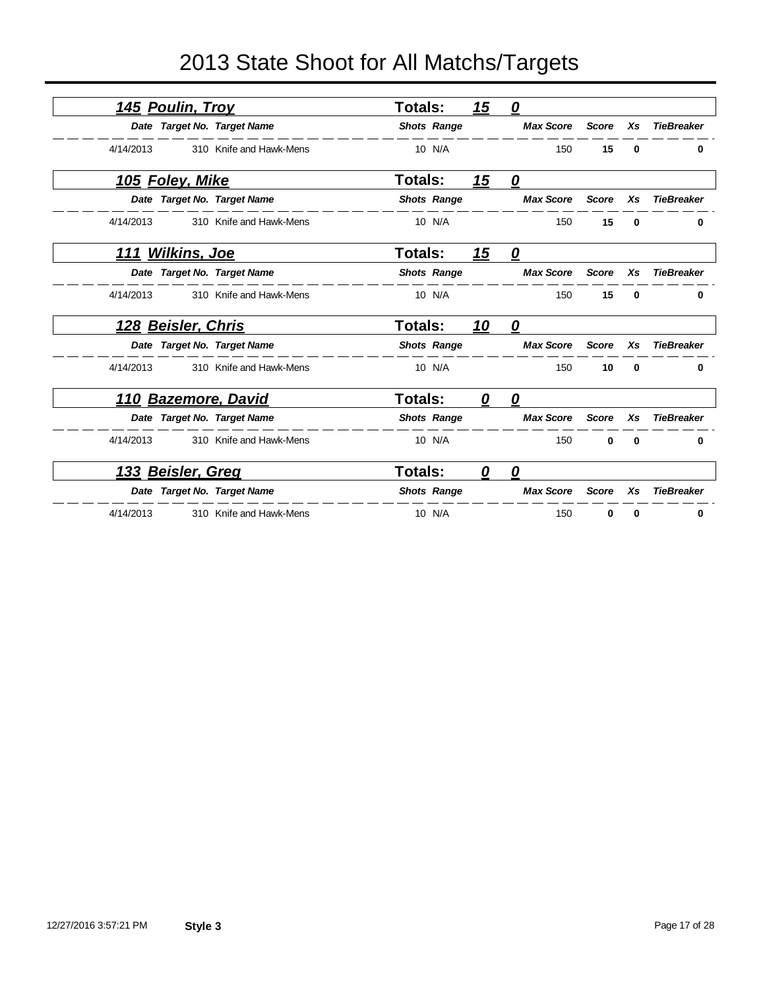|           | <u>145 Poulin, Troy</u>     |                         | <b>Totals:</b> |                    | <u>15</u> | $\boldsymbol{\varrho}$            |              |          |                   |
|-----------|-----------------------------|-------------------------|----------------|--------------------|-----------|-----------------------------------|--------------|----------|-------------------|
|           | Date Target No. Target Name |                         |                | <b>Shots Range</b> |           | <b>Max Score</b>                  | <b>Score</b> | Xs       | <b>TieBreaker</b> |
| 4/14/2013 |                             | 310 Knife and Hawk-Mens |                | 10 N/A             |           | 150                               | 15           | 0        | 0                 |
|           | 105 Foley, Mike             |                         | Totals:        |                    | <u>15</u> | $\mathbf{\Omega}$                 |              |          |                   |
|           | Date Target No. Target Name |                         |                | <b>Shots Range</b> |           | <b>Max Score</b>                  | <b>Score</b> | Xs       | <b>TieBreaker</b> |
| 4/14/2013 |                             | 310 Knife and Hawk-Mens |                | 10 N/A             |           | 150                               | 15           | 0        | 0                 |
|           | <u>111 Wilkins, Joe</u>     |                         | <b>Totals:</b> |                    | 15        | $\mathbf{\Omega}$                 |              |          |                   |
|           | Date Target No. Target Name |                         |                | <b>Shots Range</b> |           | <b>Max Score</b>                  | <b>Score</b> | Xs       | <b>TieBreaker</b> |
| 4/14/2013 |                             | 310 Knife and Hawk-Mens |                | 10 N/A             |           | 150                               | 15           | $\bf{0}$ | 0                 |
|           | <u>128 Beisler, Chris</u>   |                         | <b>Totals:</b> |                    | <u>10</u> | 0                                 |              |          |                   |
|           | Date Target No. Target Name |                         |                | <b>Shots Range</b> |           | <b>Max Score</b>                  | <b>Score</b> | Xs       | <b>TieBreaker</b> |
| 4/14/2013 |                             | 310 Knife and Hawk-Mens |                | 10 N/A             |           | 150                               | 10           | 0        | 0                 |
|           | <u>110 Bazemore, David</u>  |                         | <b>Totals:</b> |                    | 0         | $\overline{\boldsymbol{\varrho}}$ |              |          |                   |
|           | Date Target No. Target Name |                         |                | <b>Shots Range</b> |           | <b>Max Score</b>                  | <b>Score</b> | Xs       | <b>TieBreaker</b> |
| 4/14/2013 |                             | 310 Knife and Hawk-Mens |                | 10 N/A             |           | 150                               | $\bf{0}$     | $\bf{0}$ | 0                 |
|           | 133 Beisler, Greg           |                         | Totals:        |                    | 0         | 0                                 |              |          |                   |
|           | Date Target No. Target Name |                         |                | <b>Shots Range</b> |           | <b>Max Score</b>                  | <b>Score</b> | Xs       | TieBreaker        |
| 4/14/2013 |                             | 310 Knife and Hawk-Mens |                | 10 N/A             |           | 150                               | 0            | 0        | 0                 |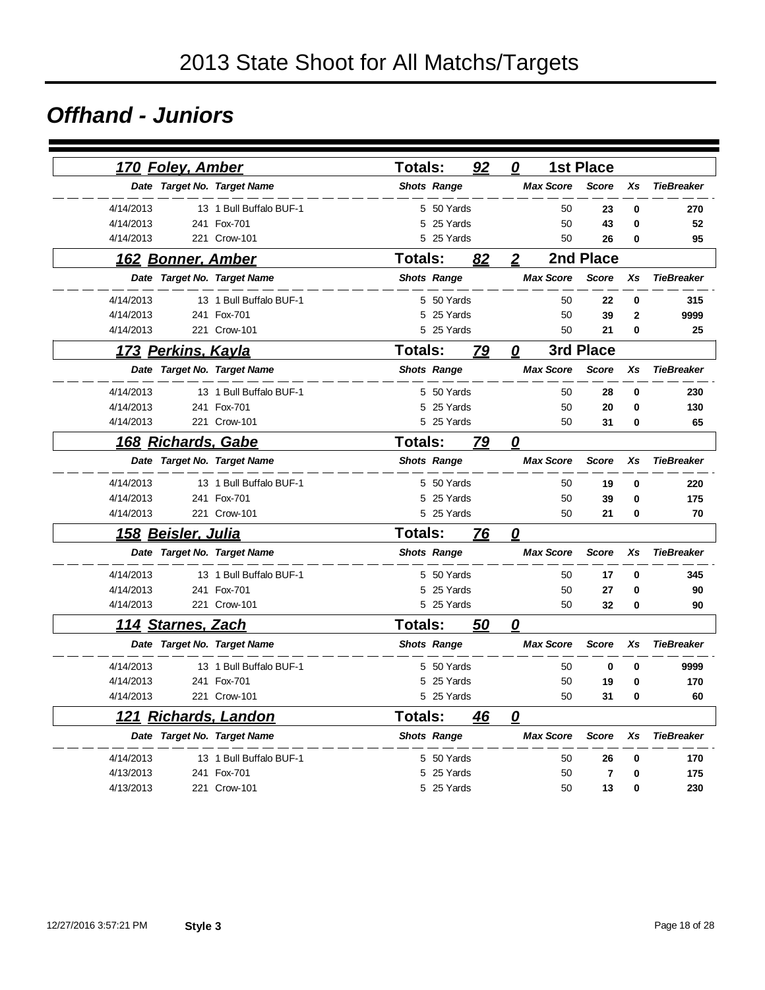#### *Offhand - Juniors*

|           | <u>170 Foley, Amber</u>   |                             | <b>Totals:</b> |                    | 92        | 0                       |                  | <b>1st Place</b> |           |                   |
|-----------|---------------------------|-----------------------------|----------------|--------------------|-----------|-------------------------|------------------|------------------|-----------|-------------------|
|           |                           | Date Target No. Target Name |                | <b>Shots Range</b> |           |                         | <b>Max Score</b> | <b>Score</b>     | Xs        | <b>TieBreaker</b> |
| 4/14/2013 |                           | 13 1 Bull Buffalo BUF-1     |                | 5 50 Yards         |           |                         | 50               | 23               | 0         | 270               |
| 4/14/2013 |                           | 241 Fox-701                 |                | 5 25 Yards         |           |                         | 50               | 43               | 0         | 52                |
| 4/14/2013 |                           | 221 Crow-101                |                | 5 25 Yards         |           |                         | 50               | 26               | 0         | 95                |
|           |                           | 162 Bonner, Amber           | <b>Totals:</b> |                    | 82        | $\overline{2}$          |                  | 2nd Place        |           |                   |
|           |                           | Date Target No. Target Name |                | <b>Shots Range</b> |           |                         | <b>Max Score</b> | <b>Score</b>     | Xs        | <b>TieBreaker</b> |
| 4/14/2013 |                           | 13 1 Bull Buffalo BUF-1     |                | 5 50 Yards         |           |                         | 50               | 22               | 0         | 315               |
| 4/14/2013 |                           | 241 Fox-701                 |                | 5 25 Yards         |           |                         | 50               | 39               | 2         | 9999              |
| 4/14/2013 |                           | 221 Crow-101                |                | 5 25 Yards         |           |                         | 50               | 21               | 0         | 25                |
|           | 173 Perkins, Kayla        |                             | <b>Totals:</b> |                    | 79        | 0                       |                  | 3rd Place        |           |                   |
|           |                           | Date Target No. Target Name |                | <b>Shots Range</b> |           |                         | <b>Max Score</b> | <b>Score</b>     | Xs        | <b>TieBreaker</b> |
| 4/14/2013 |                           | 13 1 Bull Buffalo BUF-1     |                | 5 50 Yards         |           |                         | 50               | 28               | $\bf{0}$  | 230               |
| 4/14/2013 |                           | 241 Fox-701                 |                | 5 25 Yards         |           |                         | 50               | 20               | 0         | 130               |
| 4/14/2013 |                           | 221 Crow-101                |                | 5 25 Yards         |           |                         | 50               | 31               | 0         | 65                |
|           |                           | <u>168 Richards, Gabe</u>   | <b>Totals:</b> |                    | <u>79</u> | $\overline{\mathbf{0}}$ |                  |                  |           |                   |
|           |                           | Date Target No. Target Name |                | <b>Shots Range</b> |           |                         | <b>Max Score</b> | <b>Score</b>     | <b>Xs</b> | <b>TieBreaker</b> |
| 4/14/2013 |                           | 13 1 Bull Buffalo BUF-1     |                | 5 50 Yards         |           |                         | 50               | 19               | 0         | 220               |
| 4/14/2013 |                           | 241 Fox-701                 | 5              | 25 Yards           |           |                         | 50               | 39               | $\bf{0}$  | 175               |
| 4/14/2013 |                           | 221 Crow-101                |                | 5 25 Yards         |           |                         | 50               | 21               | 0         | 70                |
|           | 158 Beisler, Julia        |                             | <b>Totals:</b> |                    | 76        | 0                       |                  |                  |           |                   |
|           |                           | Date Target No. Target Name |                | <b>Shots Range</b> |           |                         | <b>Max Score</b> | <b>Score</b>     | Xs        | <b>TieBreaker</b> |
| 4/14/2013 |                           | 13 1 Bull Buffalo BUF-1     |                | 5 50 Yards         |           |                         | 50               | 17               | 0         | 345               |
| 4/14/2013 |                           | 241 Fox-701                 |                | 5 25 Yards         |           |                         | 50               | 27               | 0         | 90                |
| 4/14/2013 |                           | 221 Crow-101                |                | 5 25 Yards         |           |                         | 50               | 32               | 0         | 90                |
|           | <u> 114 Starnes, Zach</u> |                             | <b>Totals:</b> |                    | 50        | 0                       |                  |                  |           |                   |
|           |                           | Date Target No. Target Name |                | <b>Shots Range</b> |           |                         | <b>Max Score</b> | <b>Score</b>     | Xs        | <b>TieBreaker</b> |
| 4/14/2013 |                           | 13 1 Bull Buffalo BUF-1     |                | 5 50 Yards         |           |                         | 50               | 0                | 0         | 9999              |
| 4/14/2013 |                           | 241 Fox-701                 |                | 5 25 Yards         |           |                         | 50               | 19               | 0         | 170               |
| 4/14/2013 |                           | 221 Crow-101                |                | 5 25 Yards         |           |                         | 50               | 31               | 0         | 60                |
| 121       |                           | <b>Richards, Landon</b>     | <b>Totals:</b> |                    | 46        | $\overline{\mathbf{0}}$ |                  |                  |           |                   |
|           |                           | Date Target No. Target Name |                | <b>Shots Range</b> |           |                         | <b>Max Score</b> | <b>Score</b>     | Xs        | <b>TieBreaker</b> |
| 4/14/2013 |                           | 13 1 Bull Buffalo BUF-1     |                | 5 50 Yards         |           |                         | 50               | 26               | 0         | 170               |
| 4/13/2013 |                           | 241 Fox-701                 |                | 5 25 Yards         |           |                         | 50               | $\overline{7}$   | $\bf{0}$  | 175               |
| 4/13/2013 |                           | 221 Crow-101                |                | 5 25 Yards         |           |                         | 50               | 13               | 0         | 230               |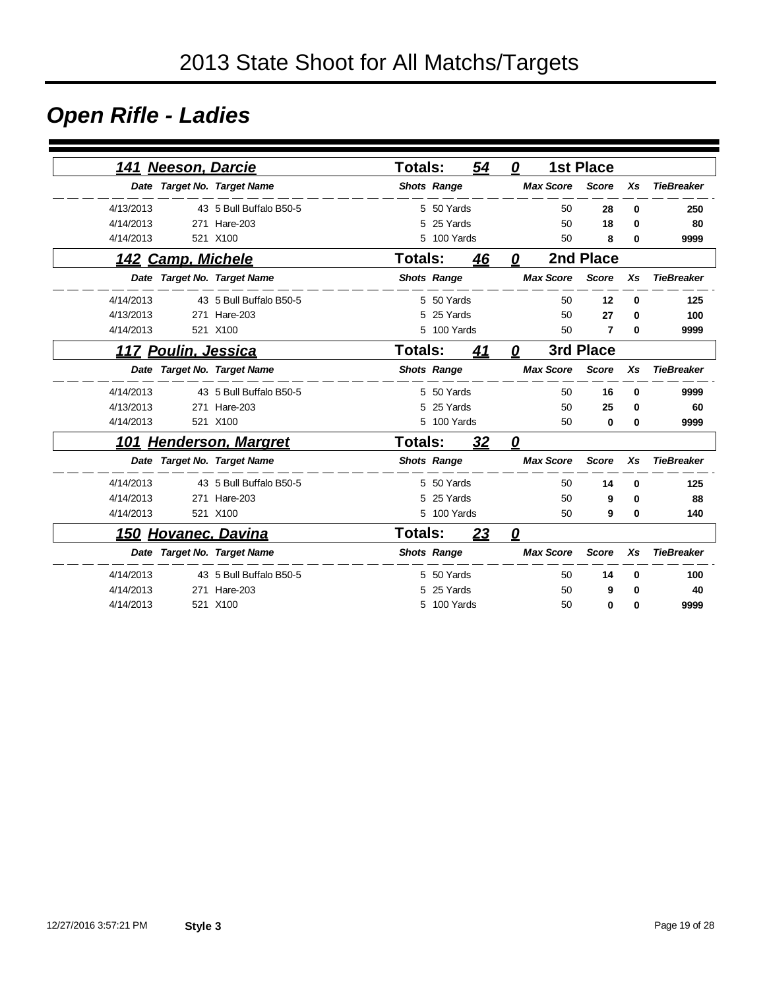### *Open Rifle - Ladies*

| <b>Neeson, Darcie</b><br>141  |                         | <b>Totals:</b> |                    | 54 | 0                       |                  | <b>1st Place</b> |          |                   |
|-------------------------------|-------------------------|----------------|--------------------|----|-------------------------|------------------|------------------|----------|-------------------|
| Date Target No. Target Name   |                         |                | <b>Shots Range</b> |    |                         | <b>Max Score</b> | <b>Score</b>     | Xs       | <b>TieBreaker</b> |
| 4/13/2013                     | 43 5 Bull Buffalo B50-5 |                | 5 50 Yards         |    |                         | 50               | 28               | 0        | 250               |
| 4/14/2013                     | 271 Hare-203            | 5              | 25 Yards           |    |                         | 50               | 18               | 0        | 80                |
| 4/14/2013                     | 521 X100                |                | 5 100 Yards        |    |                         | 50               | 8                | 0        | 9999              |
| 142 Camp, Michele             |                         | Totals:        |                    | 46 | 0                       |                  | 2nd Place        |          |                   |
| Date Target No. Target Name   |                         |                | <b>Shots Range</b> |    |                         | <b>Max Score</b> | <b>Score</b>     | Xs       | <b>TieBreaker</b> |
| 4/14/2013                     | 43 5 Bull Buffalo B50-5 |                | 5 50 Yards         |    |                         | 50               | 12               | $\bf{0}$ | 125               |
| 4/13/2013                     | 271 Hare-203            | 5              | 25 Yards           |    |                         | 50               | 27               | 0        | 100               |
| 4/14/2013                     | 521 X100                |                | 5 100 Yards        |    |                         | 50               | 7                | 0        | 9999              |
| <u> 117 Poulin, Jessica</u>   |                         | Totals:        |                    | 41 | 0                       |                  | 3rd Place        |          |                   |
| Date Target No. Target Name   |                         |                | <b>Shots Range</b> |    |                         | <b>Max Score</b> | <b>Score</b>     | Xs       | <b>TieBreaker</b> |
| 4/14/2013                     | 43 5 Bull Buffalo B50-5 |                | 5 50 Yards         |    |                         | 50               | 16               | 0        | 9999              |
| 4/13/2013                     | 271 Hare-203            | 5              | 25 Yards           |    |                         | 50               | 25               | $\bf{0}$ | 60                |
| 4/14/2013                     | 521 X100                |                | 5 100 Yards        |    |                         | 50               | 0                | 0        | 9999              |
| <u>101 Henderson, Margret</u> |                         | <b>Totals:</b> |                    | 32 | 0                       |                  |                  |          |                   |
| Date Target No. Target Name   |                         |                | <b>Shots Range</b> |    |                         | <b>Max Score</b> | <b>Score</b>     | Xs       | <b>TieBreaker</b> |
| 4/14/2013                     | 43 5 Bull Buffalo B50-5 |                | 5 50 Yards         |    |                         | 50               | 14               | 0        | 125               |
| 4/14/2013<br>271              | Hare-203                |                | 5 25 Yards         |    |                         | 50               | 9                | 0        | 88                |
| 4/14/2013                     | 521 X100                |                | 5 100 Yards        |    |                         | 50               | 9                | 0        | 140               |
| <u>150 Hovanec, Davina</u>    |                         | Totals:        |                    | 23 | $\overline{\mathbf{0}}$ |                  |                  |          |                   |
| Date Target No. Target Name   |                         |                | <b>Shots Range</b> |    |                         | <b>Max Score</b> | <b>Score</b>     | Xs       | <b>TieBreaker</b> |
| 4/14/2013                     | 43 5 Bull Buffalo B50-5 |                | 5 50 Yards         |    |                         | 50               | 14               | 0        | 100               |
| 4/14/2013                     | 271 Hare-203            |                | 25 Yards           |    |                         | 50               | 9                | 0        | 40                |
| 4/14/2013                     | 521 X100                |                | 5 100 Yards        |    |                         | 50               | 0                | 0        | 9999              |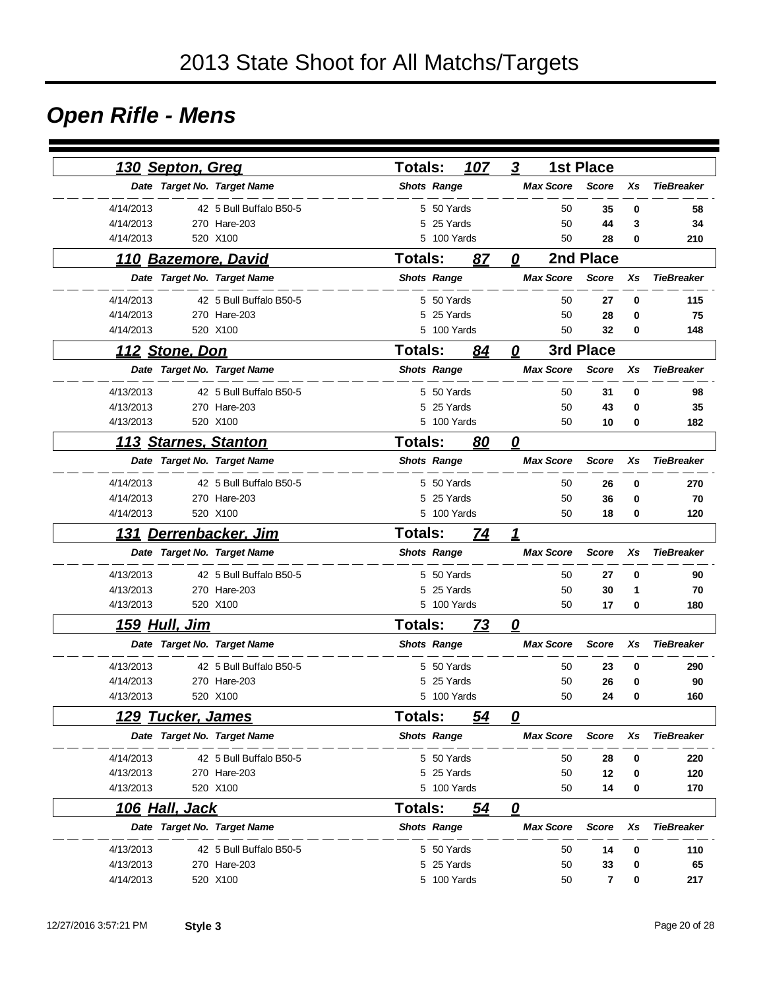### *Open Rifle - Mens*

| 130 Septon, Greg            |                         | <b>Totals:</b>     |             | 107 | $\boldsymbol{3}$        |                  | <b>1st Place</b> |    |                   |
|-----------------------------|-------------------------|--------------------|-------------|-----|-------------------------|------------------|------------------|----|-------------------|
| Date Target No. Target Name |                         | <b>Shots Range</b> |             |     |                         | <b>Max Score</b> | <b>Score</b>     | Xs | <b>TieBreaker</b> |
| 4/14/2013                   | 42 5 Bull Buffalo B50-5 |                    | 5 50 Yards  |     |                         | 50               | 35               | 0  | 58                |
| 4/14/2013                   | 270 Hare-203            |                    | 5 25 Yards  |     |                         | 50               | 44               | 3  | 34                |
| 4/14/2013                   | 520 X100                | 5                  | 100 Yards   |     |                         | 50               | 28               | 0  | 210               |
| 110 Bazemore, David         |                         | Totals:            |             | 87  | 0                       |                  | 2nd Place        |    |                   |
| Date Target No. Target Name |                         | <b>Shots Range</b> |             |     |                         | <b>Max Score</b> | <b>Score</b>     | Xs | <b>TieBreaker</b> |
| 4/14/2013                   | 42 5 Bull Buffalo B50-5 |                    | 5 50 Yards  |     |                         | 50               | 27               | 0  | 115               |
| 4/14/2013                   | 270 Hare-203            |                    | 5 25 Yards  |     |                         | 50               | 28               | 0  | 75                |
| 4/14/2013                   | 520 X100                |                    | 5 100 Yards |     |                         | 50               | 32               | 0  | 148               |
| <u> 112  Stone, Don</u>     |                         | <b>Totals:</b>     |             | 84  | 0                       |                  | 3rd Place        |    |                   |
| Date Target No. Target Name |                         | <b>Shots Range</b> |             |     |                         | <b>Max Score</b> | <b>Score</b>     | Xs | <b>TieBreaker</b> |
| 4/13/2013                   | 42 5 Bull Buffalo B50-5 |                    | 5 50 Yards  |     |                         | 50               | 31               | 0  | 98                |
| 4/13/2013                   | 270 Hare-203            | 5                  | 25 Yards    |     |                         | 50               | 43               | 0  | 35                |
| 4/13/2013                   | 520 X100                |                    | 5 100 Yards |     |                         | 50               | 10               | 0  | 182               |
| 113 Starnes, Stanton        |                         | Totals:            |             | 80  | $\overline{\mathbf{0}}$ |                  |                  |    |                   |
| Date Target No. Target Name |                         | <b>Shots Range</b> |             |     |                         | <b>Max Score</b> | <b>Score</b>     | Xs | <b>TieBreaker</b> |
| 4/14/2013                   | 42 5 Bull Buffalo B50-5 |                    | 5 50 Yards  |     |                         | 50               | 26               | 0  | 270               |
| 4/14/2013                   | 270 Hare-203            | 5                  | 25 Yards    |     |                         | 50               | 36               | 0  | 70                |
| 4/14/2013                   | 520 X100                |                    | 5 100 Yards |     |                         | 50               | 18               | 0  | 120               |
| 131                         | Derrenbacker, Jim       | <b>Totals:</b>     |             | 74  | 1                       |                  |                  |    |                   |
| Date Target No. Target Name |                         | <b>Shots Range</b> |             |     |                         | <b>Max Score</b> | <b>Score</b>     | Xs | <b>TieBreaker</b> |
| 4/13/2013                   | 42 5 Bull Buffalo B50-5 |                    | 5 50 Yards  |     |                         | 50               | 27               | 0  | 90                |
| 4/13/2013                   | 270 Hare-203            | 5                  | 25 Yards    |     |                         | 50               | 30               | 1  | 70                |
| 4/13/2013                   | 520 X100                |                    | 5 100 Yards |     |                         | 50               | 17               | 0  | 180               |
| <u>159 Hull, Jim</u>        |                         | Totals:            |             | 73  | $\overline{\mathbf{0}}$ |                  |                  |    |                   |
| Date Target No. Target Name |                         | <b>Shots Range</b> |             |     |                         | <b>Max Score</b> | <b>Score</b>     | Xs | <b>TieBreaker</b> |
| 4/13/2013                   | 42 5 Bull Buffalo B50-5 |                    | 5 50 Yards  |     |                         | 50               | 23               | 0  | 290               |
| 4/14/2013                   | 270 Hare-203            | 5                  | 25 Yards    |     |                         | 50               | 26               | 0  | 90                |
| 4/13/2013                   | 520 X100                |                    | 5 100 Yards |     |                         | 50               | 24               | 0  | 160               |
| <u>129 Tucker, James</u>    |                         | <b>Totals:</b>     |             | 54  | 0                       |                  |                  |    |                   |
| Date Target No. Target Name |                         | <b>Shots Range</b> |             |     |                         | <b>Max Score</b> | <b>Score</b>     | Xs | <b>TieBreaker</b> |
| 4/14/2013                   | 42 5 Bull Buffalo B50-5 |                    | 5 50 Yards  |     |                         | 50               | 28               | 0  | 220               |
| 4/13/2013                   | 270 Hare-203            |                    | 5 25 Yards  |     |                         | 50               | 12               | 0  | 120               |
| 4/13/2013                   | 520 X100                |                    | 5 100 Yards |     |                         | 50               | 14               | 0  | 170               |
| <u>106 Hall, Jack</u>       |                         | Totals:            |             | 54  | $\overline{\mathbf{0}}$ |                  |                  |    |                   |
| Date Target No. Target Name |                         | <b>Shots Range</b> |             |     |                         | <b>Max Score</b> | <b>Score</b>     | Xs | <b>TieBreaker</b> |
| 4/13/2013                   | 42 5 Bull Buffalo B50-5 |                    | 5 50 Yards  |     |                         | 50               | 14               | 0  | 110               |
| 4/13/2013                   | 270 Hare-203            | 5                  | 25 Yards    |     |                         | 50               | 33               | 0  | 65                |
| 4/14/2013                   | 520 X100                |                    | 5 100 Yards |     |                         | 50               | 7                | 0  | 217               |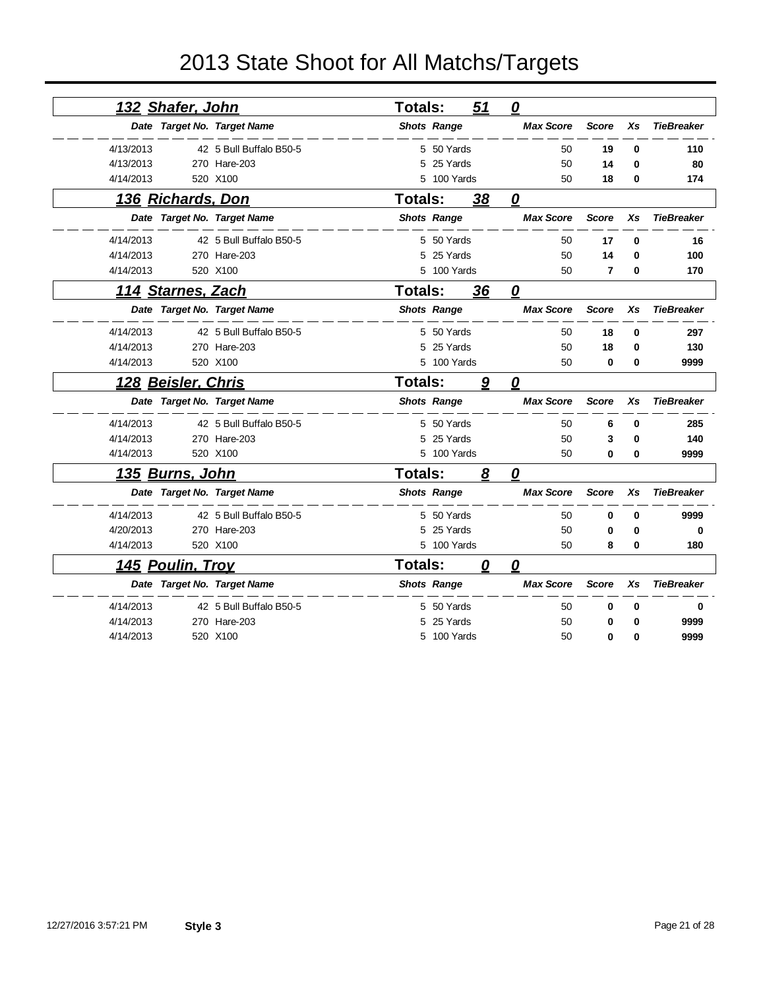|           | 132 Shafer, John          |                             | <b>Totals:</b> |                    | 51 | $\overline{\mathbf{0}}$ |              |          |                   |  |
|-----------|---------------------------|-----------------------------|----------------|--------------------|----|-------------------------|--------------|----------|-------------------|--|
|           |                           | Date Target No. Target Name |                | <b>Shots Range</b> |    | <b>Max Score</b>        | <b>Score</b> | Xs       | <b>TieBreaker</b> |  |
| 4/13/2013 |                           | 42 5 Bull Buffalo B50-5     |                | 5 50 Yards         |    | 50                      | 19           | 0        | 110               |  |
| 4/13/2013 |                           | 270 Hare-203                | 5.             | 25 Yards           |    | 50                      | 14           | $\bf{0}$ | 80                |  |
| 4/14/2013 |                           | 520 X100                    |                | 5 100 Yards        |    | 50                      | 18           | 0        | 174               |  |
|           | <u>136 Richards, Don</u>  |                             | Totals:        |                    | 38 | 0                       |              |          |                   |  |
|           |                           | Date Target No. Target Name |                | <b>Shots Range</b> |    | <b>Max Score</b>        | <b>Score</b> | Xs       | <b>TieBreaker</b> |  |
| 4/14/2013 |                           | 42 5 Bull Buffalo B50-5     |                | 5 50 Yards         |    | 50                      | 17           | $\bf{0}$ | 16                |  |
| 4/14/2013 |                           | 270 Hare-203                | 5              | 25 Yards           |    | 50                      | 14           | 0        | 100               |  |
| 4/14/2013 |                           | 520 X100                    |                | 5 100 Yards        |    | 50                      | 7            | $\bf{0}$ | 170               |  |
|           | 114 Starnes, Zach         |                             | <b>Totals:</b> |                    | 36 | 0                       |              |          |                   |  |
|           |                           | Date Target No. Target Name |                | <b>Shots Range</b> |    | <b>Max Score</b>        | <b>Score</b> | Xs       | <b>TieBreaker</b> |  |
| 4/14/2013 |                           | 42 5 Bull Buffalo B50-5     |                | 5 50 Yards         |    | 50                      | 18           | 0        | 297               |  |
| 4/14/2013 |                           | 270 Hare-203                | 5              | 25 Yards           |    | 50                      | 18           | 0        | 130               |  |
| 4/14/2013 |                           | 520 X100                    |                | 5 100 Yards        |    | 50                      | 0            | 0        | 9999              |  |
|           | <u>128 Beisler, Chris</u> |                             | <b>Totals:</b> |                    | 9  | $\overline{\mathbf{0}}$ |              |          |                   |  |
|           |                           | Date Target No. Target Name |                | <b>Shots Range</b> |    | <b>Max Score</b>        | <b>Score</b> | Xs       | <b>TieBreaker</b> |  |
| 4/14/2013 |                           | 42 5 Bull Buffalo B50-5     |                | 5 50 Yards         |    | 50                      | 6            | 0        | 285               |  |
| 4/14/2013 |                           | 270 Hare-203                |                | 25 Yards           |    | 50                      | 3            | $\bf{0}$ | 140               |  |
| 4/14/2013 |                           | 520 X100                    |                | 5 100 Yards        |    | 50                      | 0            | 0        | 9999              |  |
|           | 135 Burns, John           |                             | <b>Totals:</b> |                    | 8  | $\overline{\mathbf{0}}$ |              |          |                   |  |
|           |                           | Date Target No. Target Name |                | <b>Shots Range</b> |    | <b>Max Score</b>        | Score        | Xs       | <b>TieBreaker</b> |  |
| 4/14/2013 |                           | 42 5 Bull Buffalo B50-5     |                | 5 50 Yards         |    | 50                      | 0            | $\bf{0}$ | 9999              |  |
| 4/20/2013 |                           | 270 Hare-203                | 5              | 25 Yards           |    | 50                      | 0            | 0        | 0                 |  |
| 4/14/2013 |                           | 520 X100                    |                | 5 100 Yards        |    | 50                      | 8            | 0        | 180               |  |
|           | <u>145 Poulin, Troy</u>   |                             | <b>Totals:</b> |                    | 0  | $\overline{\mathbf{0}}$ |              |          |                   |  |
|           |                           | Date Target No. Target Name |                | <b>Shots Range</b> |    | <b>Max Score</b>        | <b>Score</b> | Xs       | <b>TieBreaker</b> |  |
| 4/14/2013 |                           | 42 5 Bull Buffalo B50-5     | 5.             | 50 Yards           |    | 50                      | 0            | 0        | 0                 |  |
| 4/14/2013 |                           | 270 Hare-203                |                | 25 Yards           |    | 50                      | 0            | $\bf{0}$ | 9999              |  |
| 4/14/2013 |                           | 520 X100                    |                | 5 100 Yards        |    | 50                      | $\Omega$     | $\bf{0}$ | 9999              |  |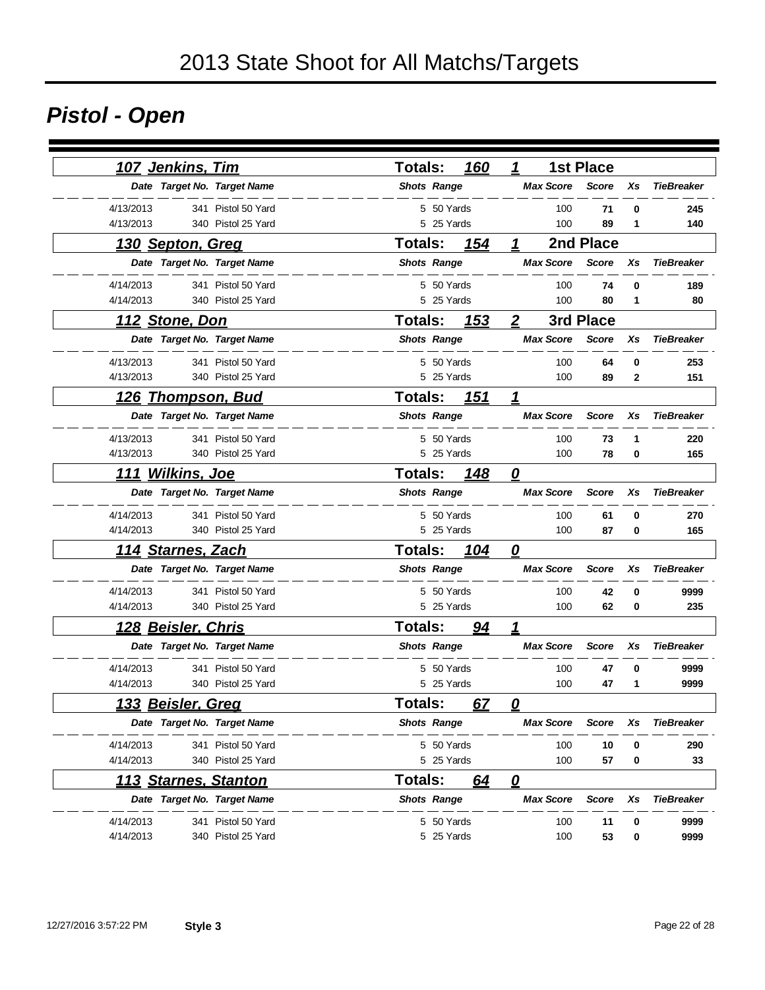# *Pistol - Open*

| <u>107 Jenkins, Tim</u>         | <b>Totals:</b> | 160                | 1                       | <b>1st Place</b> |    |                   |
|---------------------------------|----------------|--------------------|-------------------------|------------------|----|-------------------|
| Date Target No. Target Name     |                | <b>Shots Range</b> | <b>Max Score</b>        | <b>Score</b>     | Xs | <b>TieBreaker</b> |
| 4/13/2013<br>341 Pistol 50 Yard |                | 5 50 Yards         | 100                     | 71               | 0  | 245               |
| 4/13/2013<br>340 Pistol 25 Yard |                | 5 25 Yards         | 100                     | 89               | 1  | 140               |
| 130 Septon, Greg                | Totals:        | 154                | 1                       | 2nd Place        |    |                   |
| Date Target No. Target Name     |                | <b>Shots Range</b> | <b>Max Score</b>        | <b>Score</b>     | Xs | <b>TieBreaker</b> |
| 4/14/2013<br>341 Pistol 50 Yard |                | 5 50 Yards         | 100                     | 74               | 0  | 189               |
| 4/14/2013<br>340 Pistol 25 Yard |                | 5 25 Yards         | 100                     | 80               | 1  | 80                |
| <u>112 Stone, Don</u>           | <b>Totals:</b> | <u> 153</u>        | $\overline{2}$          | 3rd Place        |    |                   |
| Date Target No. Target Name     |                | <b>Shots Range</b> | <b>Max Score</b>        | <b>Score</b>     | Xs | <b>TieBreaker</b> |
| 4/13/2013<br>341 Pistol 50 Yard |                | 5 50 Yards         | 100                     | 64               | 0  | 253               |
| 4/13/2013<br>340 Pistol 25 Yard |                | 5 25 Yards         | 100                     | 89               | 2  | 151               |
| <u>126 Thompson, Bud</u>        | Totals:        | 151                | 1                       |                  |    |                   |
| Date Target No. Target Name     |                | <b>Shots Range</b> | <b>Max Score</b>        | <b>Score</b>     | Xs | <b>TieBreaker</b> |
| 4/13/2013<br>341 Pistol 50 Yard |                | 5 50 Yards         | 100                     | 73               | 1  | 220               |
| 4/13/2013<br>340 Pistol 25 Yard |                | 5 25 Yards         | 100                     | 78               | 0  | 165               |
| <b>Wilkins, Joe</b><br>111      | <b>Totals:</b> | 148                | 0                       |                  |    |                   |
| Date Target No. Target Name     |                | <b>Shots Range</b> | <b>Max Score</b>        | <b>Score</b>     | Xs | <b>TieBreaker</b> |
| 4/14/2013<br>341 Pistol 50 Yard |                | 5 50 Yards         | 100                     | 61               | 0  | 270               |
| 4/14/2013<br>340 Pistol 25 Yard |                | 5 25 Yards         | 100                     | 87               | 0  | 165               |
| <u> 114 Starnes, Zach</u>       | <b>Totals:</b> | 104                | $\overline{\mathbf{0}}$ |                  |    |                   |
| Date Target No. Target Name     |                | <b>Shots Range</b> | <b>Max Score</b>        | <b>Score</b>     | Xs | <b>TieBreaker</b> |
| 4/14/2013<br>341 Pistol 50 Yard |                | 5 50 Yards         | 100                     | 42               | 0  | 9999              |
| 4/14/2013<br>340 Pistol 25 Yard |                | 5 25 Yards         | 100                     | 62               | 0  | 235               |
| <u> 128 Beisler, Chris</u>      | <b>Totals:</b> | <u>94</u>          | 1                       |                  |    |                   |
| Date Target No. Target Name     |                | <b>Shots Range</b> | <b>Max Score</b>        | <b>Score</b>     | Xs | <b>TieBreaker</b> |
| 4/14/2013<br>341 Pistol 50 Yard |                | 5 50 Yards         | 100                     | 47               | 0  | 9999              |
| 4/14/2013<br>340 Pistol 25 Yard |                | 5 25 Yards         | 100                     | 47               | 1  | 9999              |
| <u>133 Beisler, Greq</u>        | <b>Totals:</b> | 67                 | n                       |                  |    |                   |
| Date Target No. Target Name     |                | <b>Shots Range</b> | <b>Max Score</b>        | Score            | Xs | <b>TieBreaker</b> |
| 4/14/2013<br>341 Pistol 50 Yard |                | 5 50 Yards         | 100                     | 10               | 0  | 290               |
| 4/14/2013<br>340 Pistol 25 Yard |                | 5 25 Yards         | 100                     | 57               | 0  | 33                |
| <b>113 Starnes, Stanton</b>     | Totals:        | 64                 | $\overline{\mathbf{0}}$ |                  |    |                   |
| Date Target No. Target Name     |                | <b>Shots Range</b> | <b>Max Score</b>        | <b>Score</b>     | Xs | <b>TieBreaker</b> |
| 4/14/2013<br>341 Pistol 50 Yard |                | 5 50 Yards         | 100                     | 11               | 0  | 9999              |
| 4/14/2013<br>340 Pistol 25 Yard |                | 5 25 Yards         | 100                     | 53               | 0  | 9999              |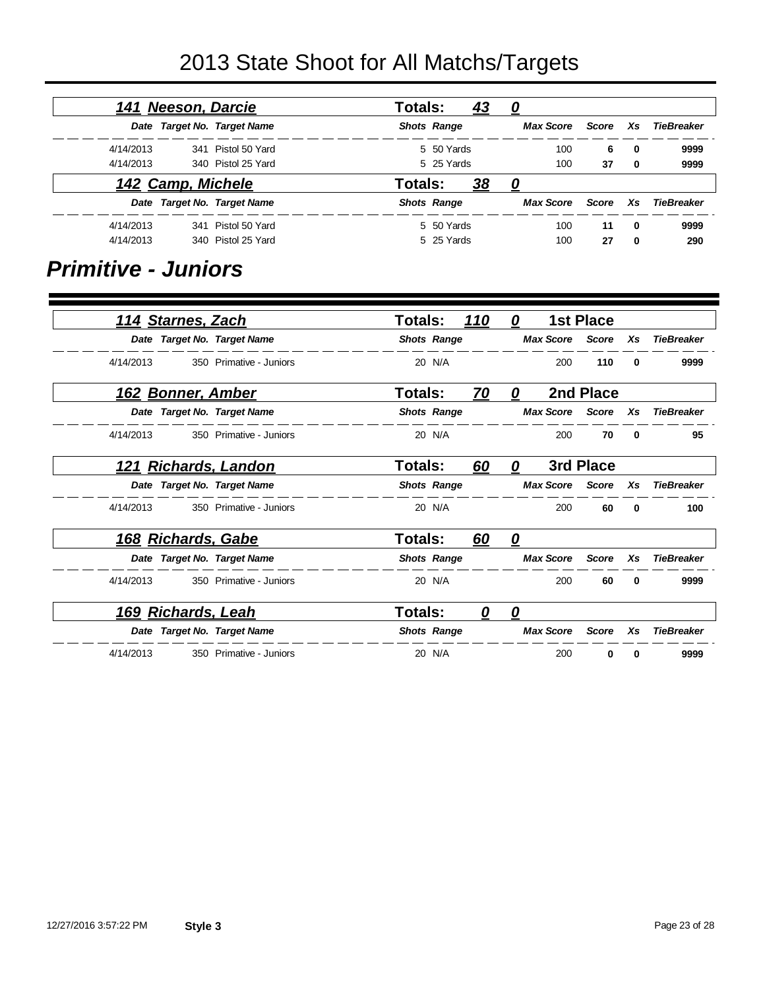|                   |              |       | 0                | <u>43</u> |                    | <b>Totals:</b> |                             | 141 Neeson, Darcie |           |
|-------------------|--------------|-------|------------------|-----------|--------------------|----------------|-----------------------------|--------------------|-----------|
| TieBreaker        | Xs.          | Score | <b>Max Score</b> |           | <b>Shots Range</b> |                | Date Target No. Target Name |                    |           |
| 9999              | 0            | 6     | 100              |           | 5 50 Yards         |                | 341 Pistol 50 Yard          |                    | 4/14/2013 |
| 9999              | 0            | 37    | 100              |           | 5 25 Yards         |                | 340 Pistol 25 Yard          |                    | 4/14/2013 |
|                   |              |       | 0                | <u>38</u> |                    | Totals:        |                             | 142 Camp, Michele  |           |
| <b>TieBreaker</b> | Xs.          | Score | <b>Max Score</b> |           | <b>Shots Range</b> |                | Date Target No. Target Name |                    |           |
| 9999              | $\mathbf{0}$ | 11    | 100              |           | 5 50 Yards         |                | 341 Pistol 50 Yard          |                    | 4/14/2013 |
| 290               | 0            | 27    | 100              |           | 5 25 Yards         |                | 340 Pistol 25 Yard          |                    | 4/14/2013 |

#### *Primitive - Juniors*

|           | 114 Starnes, Zach         |                             | <b>Totals:</b> |                    | <u>110</u> | 0 |                  | <b>1st Place</b> |          |                   |
|-----------|---------------------------|-----------------------------|----------------|--------------------|------------|---|------------------|------------------|----------|-------------------|
|           |                           | Date Target No. Target Name |                | <b>Shots Range</b> |            |   | <b>Max Score</b> | Score            | Xs       | <b>TieBreaker</b> |
| 4/14/2013 |                           | 350 Primative - Juniors     |                | 20 N/A             |            |   | 200              | 110              | 0        | 9999              |
|           | <u>162 Bonner, Amber</u>  |                             | Totals:        |                    | <u>70</u>  | 0 |                  | 2nd Place        |          |                   |
|           |                           | Date Target No. Target Name |                | <b>Shots Range</b> |            |   | <b>Max Score</b> | Score            | Xs       | <b>TieBreaker</b> |
| 4/14/2013 |                           | 350 Primative - Juniors     |                | 20 N/A             |            |   | 200              | 70               | $\bf{0}$ | 95                |
|           |                           | 121 Richards, Landon        | Totals:        |                    | 60         | 0 |                  | 3rd Place        |          |                   |
|           |                           | Date Target No. Target Name |                | <b>Shots Range</b> |            |   | <b>Max Score</b> | Score            | Xs       | <b>TieBreaker</b> |
| 4/14/2013 |                           | 350 Primative - Juniors     |                | 20 N/A             |            |   | 200              | 60               | 0        | 100               |
|           | <u>168 Richards, Gabe</u> |                             | Totals:        |                    | 60         | 0 |                  |                  |          |                   |
|           |                           | Date Target No. Target Name |                | <b>Shots Range</b> |            |   | <b>Max Score</b> | Score            | Xs       | <b>TieBreaker</b> |
| 4/14/2013 |                           | 350 Primative - Juniors     |                | 20 N/A             |            |   | 200              | 60               | 0        | 9999              |
|           | 169 Richards, Leah        |                             | Totals:        |                    | 0          | 0 |                  |                  |          |                   |
|           |                           | Date Target No. Target Name |                | <b>Shots Range</b> |            |   | <b>Max Score</b> | <b>Score</b>     | Xs       | <b>TieBreaker</b> |
| 4/14/2013 |                           | 350 Primative - Juniors     |                | 20 N/A             |            |   | 200              | 0                | 0        | 9999              |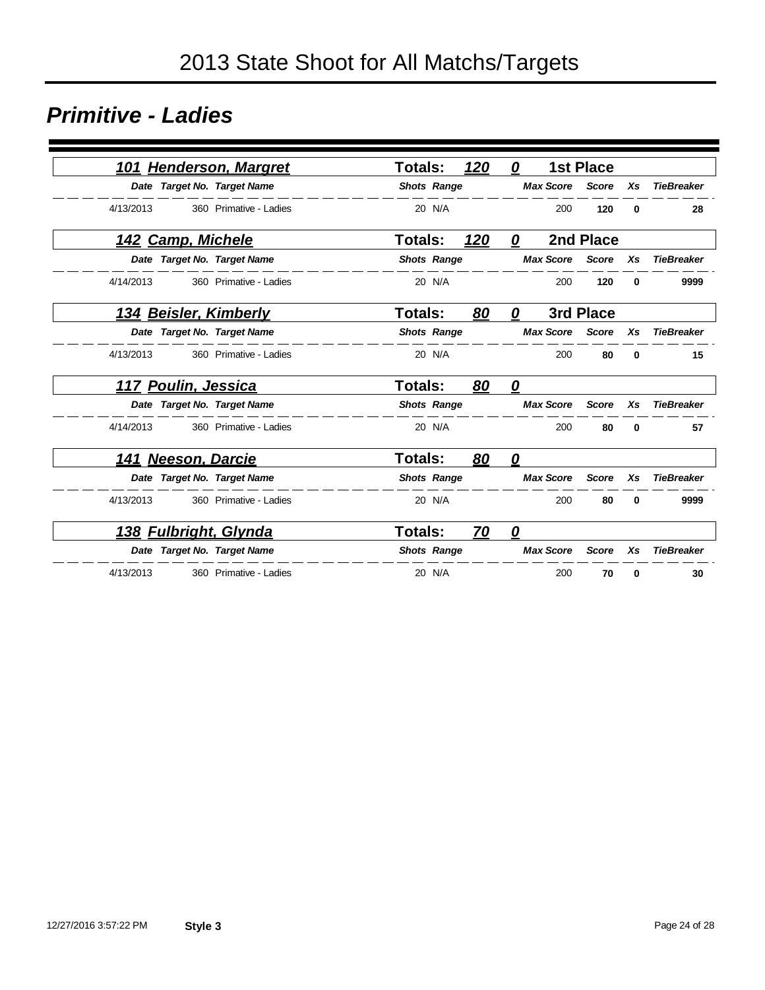#### *Primitive - Ladies*

| <b>Henderson, Margret</b><br>101    | <b>Totals:</b> |                    | 120<br>0                       |                  | <b>1st Place</b> |              |                   |
|-------------------------------------|----------------|--------------------|--------------------------------|------------------|------------------|--------------|-------------------|
| Date Target No. Target Name         |                | <b>Shots Range</b> |                                | <b>Max Score</b> | <b>Score</b>     | Xs           | <b>TieBreaker</b> |
| 4/13/2013<br>360 Primative - Ladies |                | 20 N/A             |                                | 200              | 120              | $\bf{0}$     | 28                |
| 142 Camp, Michele                   | <b>Totals:</b> |                    | 120<br>0                       |                  | 2nd Place        |              |                   |
| Date Target No. Target Name         |                | <b>Shots Range</b> |                                | <b>Max Score</b> | <b>Score</b>     | Xs           | <b>TieBreaker</b> |
| 4/14/2013<br>360 Primative - Ladies |                | 20 N/A             |                                | 200              | 120              | 0            | 9999              |
| <u>134 Beisler, Kimberly</u>        | <b>Totals:</b> |                    | 80<br>0                        |                  | 3rd Place        |              |                   |
| Date Target No. Target Name         |                | <b>Shots Range</b> |                                | <b>Max Score</b> | <b>Score</b>     | Xs           | <b>TieBreaker</b> |
| 4/13/2013<br>360 Primative - Ladies |                | 20 N/A             |                                | 200              | 80               | $\mathbf{0}$ | 15                |
| <u>117 Poulin, Jessica</u>          | Totals:        |                    | 80<br>0                        |                  |                  |              |                   |
| Date Target No. Target Name         |                | <b>Shots Range</b> |                                | <b>Max Score</b> | <b>Score</b>     | Xs           | <b>TieBreaker</b> |
| 4/14/2013<br>360 Primative - Ladies |                | 20 N/A             |                                | 200              | 80               | $\bf{0}$     | 57                |
| 141 Neeson, Darcie                  | <b>Totals:</b> |                    | 80<br>0                        |                  |                  |              |                   |
| Date Target No. Target Name         |                | <b>Shots Range</b> |                                | <b>Max Score</b> | <b>Score</b>     | Xs           | <b>TieBreaker</b> |
| 4/13/2013<br>360 Primative - Ladies |                | 20 N/A             |                                | 200              | 80               | $\bf{0}$     | 9999              |
| <u>138 Fulbright, Glynda</u>        | <b>Totals:</b> |                    | <u>70</u><br>$\mathbf{\Omega}$ |                  |                  |              |                   |
| Date Target No. Target Name         |                | <b>Shots Range</b> |                                | <b>Max Score</b> | <b>Score</b>     | Xs           | <b>TieBreaker</b> |
| 4/13/2013<br>360 Primative - Ladies |                | 20 N/A             |                                | 200              | 70               | 0            | 30                |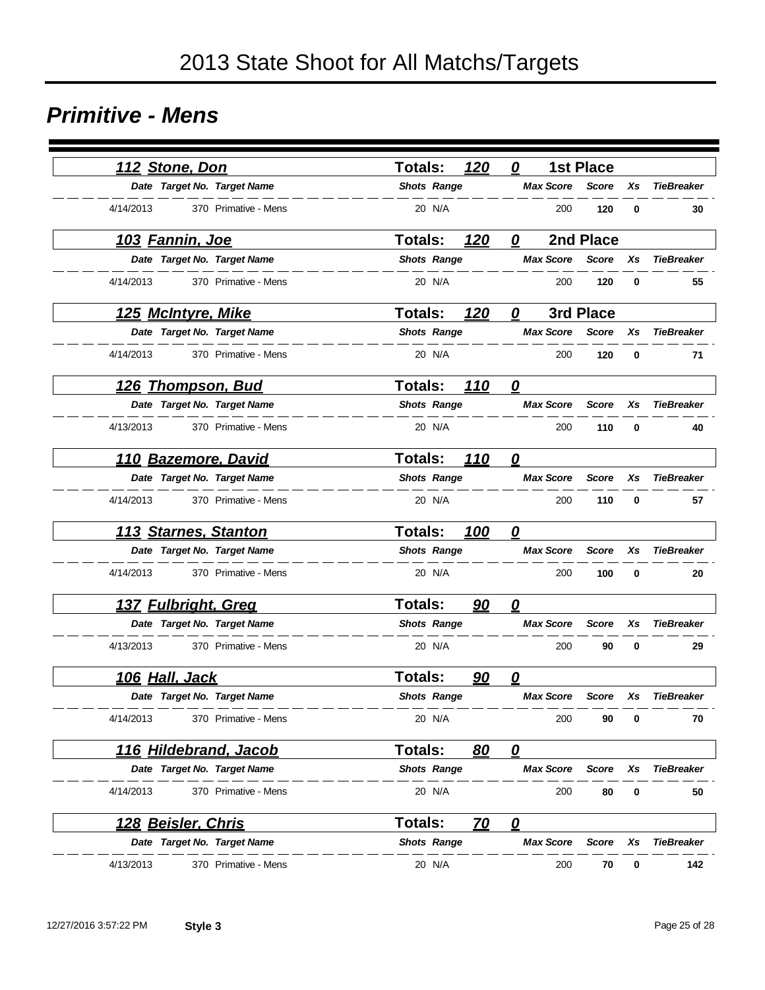#### *Primitive - Mens*

| 112 Stone, Don                    | 120<br><b>Totals:</b> | <b>1st Place</b><br>0   |                    |                   |
|-----------------------------------|-----------------------|-------------------------|--------------------|-------------------|
| Date Target No. Target Name       | <b>Shots Range</b>    | <b>Max Score</b>        | <b>Score</b><br>Xs | <b>TieBreaker</b> |
| 4/14/2013<br>370 Primative - Mens | 20 N/A                | 200                     | 120<br>0           | 30                |
| <u> 103 Fannin, Joe</u>           | <b>Totals:</b><br>120 | 2nd Place<br>0          |                    |                   |
| Date Target No. Target Name       | <b>Shots Range</b>    | <b>Max Score</b>        | Score<br>Xs        | <b>TieBreaker</b> |
| 4/14/2013<br>370 Primative - Mens | 20 N/A                | 200                     | 120<br>0           | 55                |
| <u>125 McIntyre, Mike</u>         | <b>Totals:</b><br>120 | 3rd Place<br>0          |                    |                   |
| Date Target No. Target Name       | <b>Shots Range</b>    | <b>Max Score</b>        | <b>Score</b><br>Xs | <b>TieBreaker</b> |
| 4/14/2013<br>370 Primative - Mens | 20 N/A                | 200                     | 120<br>0           | 71                |
| 126 Thompson, Bud                 | <b>Totals:</b><br>110 | $\mathbf{Q}$            |                    |                   |
| Date Target No. Target Name       | <b>Shots Range</b>    | <b>Max Score</b>        | <b>Score</b><br>Xs | <b>TieBreaker</b> |
| 4/13/2013<br>370 Primative - Mens | 20 N/A                | 200                     | 110<br>0           | 40                |
| 110 Bazemore, David               | 110<br><b>Totals:</b> | $\overline{\mathbf{0}}$ |                    |                   |
| Date Target No. Target Name       | <b>Shots Range</b>    | <b>Max Score</b>        | <b>Score</b><br>Xs | <b>TieBreaker</b> |
| 4/14/2013<br>370 Primative - Mens | 20 N/A                | 200                     | 110<br>0           | 57                |
| 113 Starnes, Stanton              | 100<br><b>Totals:</b> | 0                       |                    |                   |
| Date Target No. Target Name       | <b>Shots Range</b>    | <b>Max Score</b>        | <b>Score</b><br>Xs | <b>TieBreaker</b> |
| 4/14/2013<br>370 Primative - Mens | 20 N/A                | 200                     | 100<br>0           | 20                |
| <u>137 Fulbright, Greq</u>        | <b>Totals:</b><br>90  | 0                       |                    |                   |
| Date Target No. Target Name       | <b>Shots Range</b>    | <b>Max Score</b>        | <b>Score</b><br>Xs | <b>TieBreaker</b> |
| 4/13/2013<br>370 Primative - Mens | 20 N/A                | 200                     | 90<br>0            | 29                |
| <u>106 Hall, Jack</u>             | Totals:<br>90         | 0                       |                    |                   |
| Date Target No. Target Name       | <b>Shots Range</b>    | <b>Max Score</b>        | <b>Score</b><br>Xs | <b>TieBreaker</b> |
| 4/14/2013<br>370 Primative - Mens | 20 N/A                | 200                     | 90<br>0            | 70                |
| 116 Hildebrand, Jacob             | <b>Totals:</b><br>80  | $\mathbf{Q}$            |                    |                   |
| Date Target No. Target Name       | <b>Shots Range</b>    | <b>Max Score</b>        | <b>Score</b><br>Xs | <b>TieBreaker</b> |
| 370 Primative - Mens<br>4/14/2013 | 20 N/A                | 200                     | 80<br>0            | 50                |
| <u> 128 Beisler, Chris</u>        | Totals:<br><u>70</u>  | $\overline{\mathbf{0}}$ |                    |                   |
| Date Target No. Target Name       | <b>Shots Range</b>    | <b>Max Score</b>        | Score<br>Xs        | <b>TieBreaker</b> |
| 4/13/2013<br>370 Primative - Mens | 20 N/A                | 200                     | 70<br>0            | 142               |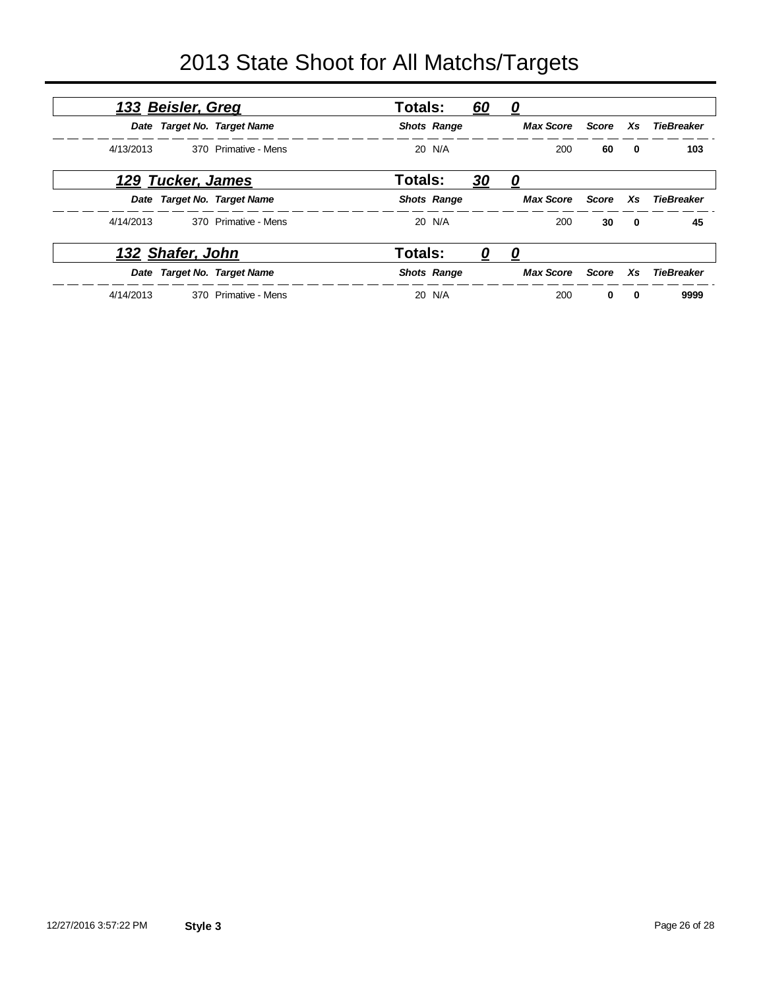| 133 Beisler, Greg |                   | Totals:                     |                | <u>60</u>          | <u>0</u>  |                  |              |              |                   |
|-------------------|-------------------|-----------------------------|----------------|--------------------|-----------|------------------|--------------|--------------|-------------------|
|                   |                   | Date Target No. Target Name |                | <b>Shots Range</b> |           | <b>Max Score</b> | Score        | Xs           | TieBreaker        |
| 4/13/2013         |                   | 370 Primative - Mens        |                | 20 N/A             |           | 200              | 60           | $\bf{0}$     | 103               |
|                   | 129 Tucker, James |                             | <b>Totals:</b> |                    | <u>30</u> | <u>0</u>         |              |              |                   |
|                   |                   | Date Target No. Target Name |                | <b>Shots Range</b> |           | <b>Max Score</b> | Score        | Xs           | <b>TieBreaker</b> |
| 4/14/2013         |                   | 370 Primative - Mens        |                | 20 N/A             |           | 200              | 30           | $\mathbf{0}$ | 45                |
|                   | 132 Shafer, John  |                             | Totals:        |                    | U         | 0                |              |              |                   |
|                   |                   | Date Target No. Target Name |                | <b>Shots Range</b> |           | <b>Max Score</b> | <b>Score</b> | Xs.          | <b>TieBreaker</b> |
| 4/14/2013         |                   | 370 Primative - Mens        |                | 20 N/A             |           | 200              | 0            | $\bf{0}$     | 9999              |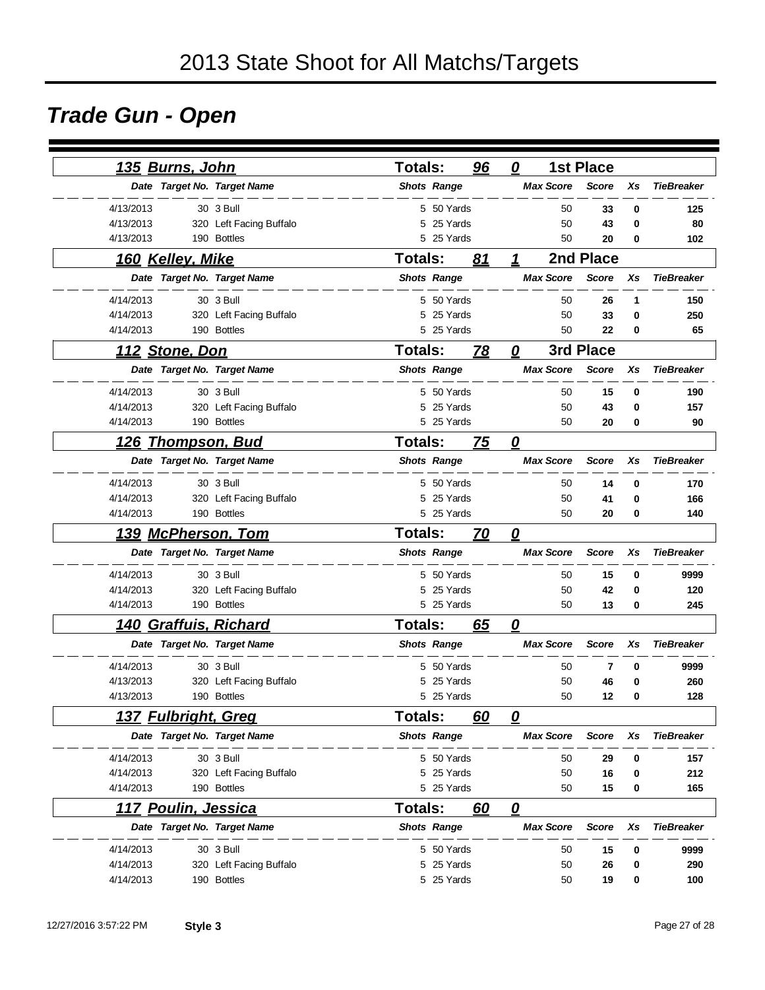# *Trade Gun - Open*

| 135 Burns, John             |                         | <b>Totals:</b> |                    | 96 | 0                       |                  | <b>1st Place</b> |           |                   |
|-----------------------------|-------------------------|----------------|--------------------|----|-------------------------|------------------|------------------|-----------|-------------------|
| Date Target No. Target Name |                         |                | <b>Shots Range</b> |    |                         | <b>Max Score</b> | <b>Score</b>     | Xs        | <b>TieBreaker</b> |
| 4/13/2013                   | 30 3 Bull               |                | 5 50 Yards         |    |                         | 50               | 33               | 0         | 125               |
| 4/13/2013                   | 320 Left Facing Buffalo | 5              | 25 Yards           |    |                         | 50               | 43               | 0         | 80                |
| 4/13/2013                   | 190 Bottles             |                | 5 25 Yards         |    |                         | 50               | 20               | 0         | 102               |
|                             |                         |                | <b>Totals:</b>     |    | 1                       |                  | 2nd Place        |           |                   |
| 160 Kelley, Mike            |                         |                |                    | 81 |                         |                  |                  |           |                   |
| Date Target No. Target Name |                         |                | <b>Shots Range</b> |    |                         | <b>Max Score</b> | <b>Score</b>     | Xs        | <b>TieBreaker</b> |
| 4/14/2013                   | 30 3 Bull               |                | 5 50 Yards         |    |                         | 50               | 26               | 1         | 150               |
| 4/14/2013                   | 320 Left Facing Buffalo | 5.             | 25 Yards           |    |                         | 50               | 33               | 0         | 250               |
| 4/14/2013                   | 190 Bottles             |                | 5 25 Yards         |    |                         | 50               | 22               | 0         | 65                |
| <u> 112 Stone, Don</u>      |                         | <b>Totals:</b> | 78<br>0            |    |                         |                  |                  | 3rd Place |                   |
| Date Target No. Target Name |                         |                | <b>Shots Range</b> |    |                         | <b>Max Score</b> | <b>Score</b>     | Xs        | <b>TieBreaker</b> |
| 4/14/2013                   | 30 3 Bull               |                | 5 50 Yards         |    |                         | 50               | 15               | 0         | 190               |
| 4/14/2013                   | 320 Left Facing Buffalo |                | 5 25 Yards         |    |                         | 50               | 43               | 0         | 157               |
| 4/14/2013                   | 190 Bottles             |                | 5 25 Yards         |    |                         | 50               | 20               | 0         | 90                |
| 126<br><u>Thompson, Bud</u> |                         | <b>Totals:</b> |                    | 75 | $\mathbf{\Omega}$       |                  |                  |           |                   |
| Date Target No. Target Name |                         |                | <b>Shots Range</b> |    |                         | <b>Max Score</b> | <b>Score</b>     | Xs        | <b>TieBreaker</b> |
| 4/14/2013                   | 30 3 Bull               |                | 5 50 Yards         |    |                         | 50               | 14               | 0         | 170               |
| 4/14/2013                   | 320 Left Facing Buffalo |                | 5 25 Yards         |    |                         | 50               | 41               | 0         | 166               |
| 4/14/2013                   | 190 Bottles             |                | 5 25 Yards         |    |                         | 50               | 20               | 0         | 140               |
| <u>139 McPherson, Tom</u>   |                         | <b>Totals:</b> |                    | 70 | $\overline{\mathbf{0}}$ |                  |                  |           |                   |
| Date Target No. Target Name |                         |                | <b>Shots Range</b> |    |                         | <b>Max Score</b> | <b>Score</b>     | Xs        | <b>TieBreaker</b> |
| 4/14/2013                   | 30 3 Bull               |                | 5 50 Yards         |    |                         | 50               | 15               | 0         | 9999              |
| 4/14/2013                   | 320 Left Facing Buffalo |                | 5 25 Yards         |    |                         | 50               | 42               | 0         | 120               |
| 4/14/2013                   | 190 Bottles             |                | 5 25 Yards         |    |                         | 50               | 13               | 0         | 245               |
| 140 Graffuis, Richard       |                         | <b>Totals:</b> |                    | 65 | 0                       |                  |                  |           |                   |
| Date Target No. Target Name |                         |                | <b>Shots Range</b> |    |                         | <b>Max Score</b> | <b>Score</b>     | Xs        | <b>TieBreaker</b> |
| 4/14/2013                   | 30 3 Bull               | 5.             | 50 Yards           |    |                         | 50               | 7                | 0         | 9999              |
| 4/13/2013                   | 320 Left Facing Buffalo | 5              | 25 Yards           |    |                         | 50               | 46               | 0         | 260               |
| 4/13/2013                   | 190 Bottles             |                | 5 25 Yards         |    |                         | 50               | 12               | 0         | 128               |
| <u>137 Fulbright, Greg</u>  |                         | <b>Totals:</b> |                    | 60 | 0                       |                  |                  |           |                   |
| Date Target No. Target Name |                         |                | <b>Shots Range</b> |    |                         | <b>Max Score</b> | Score            | Xs        | <b>TieBreaker</b> |
| 4/14/2013                   | 30 3 Bull               |                | 5 50 Yards         |    |                         | 50               | 29               | 0         | 157               |
| 4/14/2013                   | 320 Left Facing Buffalo |                | 5 25 Yards         |    |                         | 50               | 16               | 0         | 212               |
| 4/14/2013                   | 190 Bottles             |                | 5 25 Yards         |    |                         | 50               | 15               | 0         | 165               |
| 117 Poulin, Jessica         |                         | Totals:        |                    | 60 | $\overline{\mathbf{0}}$ |                  |                  |           |                   |
| Date Target No. Target Name |                         |                | <b>Shots Range</b> |    |                         | <b>Max Score</b> | <b>Score</b>     | Xs        | <b>TieBreaker</b> |
| 4/14/2013                   | 30 3 Bull               |                | 5 50 Yards         |    |                         | 50               | 15               | 0         | 9999              |
| 4/14/2013                   | 320 Left Facing Buffalo |                | 5 25 Yards         |    |                         | 50               | 26               | 0         | 290               |
| 4/14/2013                   | 190 Bottles             |                | 5 25 Yards         |    |                         | 50               | 19               | 0         | 100               |